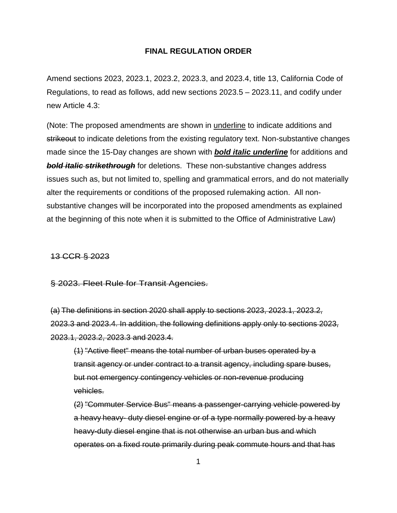## **FINAL REGULATION ORDER**

Amend sections 2023, 2023.1, 2023.2, 2023.3, and 2023.4, title 13, California Code of Regulations, to read as follows, add new sections 2023.5 – 2023.11, and codify under new Article 4.3:

(Note: The proposed amendments are shown in underline to indicate additions and strikeout to indicate deletions from the existing regulatory text. Non-substantive changes made since the 15-Day changes are shown with *bold italic underline* for additions and **bold italic strikethrough** for deletions. These non-substantive changes address issues such as, but not limited to, spelling and grammatical errors, and do not materially alter the requirements or conditions of the proposed rulemaking action. All nonsubstantive changes will be incorporated into the proposed amendments as explained at the beginning of this note when it is submitted to the Office of Administrative Law)

## 13 CCR § 2023

§ 2023. Fleet Rule for Transit Agencies.

(a) The definitions in section 2020 shall apply to sections 2023, 2023.1, 2023.2, 2023.3 and 2023.4. In addition, the following definitions apply only to sections 2023, 2023.1, 2023.2, 2023.3 and 2023.4.

(1) "Active fleet" means the total number of urban buses operated by a transit agency or under contract to a transit agency, including spare buses, but not emergency contingency vehicles or non-revenue producing vehicles.

(2) "Commuter Service Bus" means a passenger-carrying vehicle powered by a heavy heavy- duty diesel engine or of a type normally powered by a heavy heavy-duty diesel engine that is not otherwise an urban bus and which operates on a fixed route primarily during peak commute hours and that has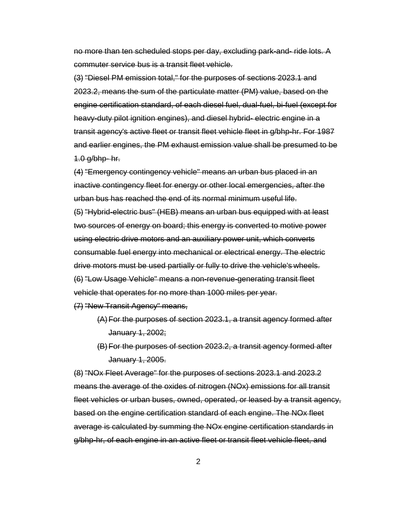no more than ten scheduled stops per day, excluding park-and- ride lots. A commuter service bus is a transit fleet vehicle.

(3) "Diesel PM emission total," for the purposes of sections 2023.1 and 2023.2, means the sum of the particulate matter (PM) value, based on the engine certification standard, of each diesel fuel, dual-fuel, bi-fuel (except for heavy-duty pilot ignition engines), and diesel hybrid- electric engine in a transit agency's active fleet or transit fleet vehicle fleet in g/bhp-hr. For 1987 and earlier engines, the PM exhaust emission value shall be presumed to be 1.0 g/bhp- hr.

(4) "Emergency contingency vehicle" means an urban bus placed in an inactive contingency fleet for energy or other local emergencies, after the urban bus has reached the end of its normal minimum useful life.

(5) "Hybrid-electric bus" (HEB) means an urban bus equipped with at least two sources of energy on board; this energy is converted to motive power using electric drive motors and an auxiliary power unit, which converts consumable fuel energy into mechanical or electrical energy. The electric drive motors must be used partially or fully to drive the vehicle's wheels. (6) "Low Usage Vehicle" means a non-revenue-generating transit fleet vehicle that operates for no more than 1000 miles per year.

(7) "New Transit Agency" means,

- (A)For the purposes of section 2023.1, a transit agency formed after January 1, 2002;
- (B)For the purposes of section 2023.2, a transit agency formed after January 1, 2005.

(8) "NOx Fleet Average" for the purposes of sections 2023.1 and 2023.2 means the average of the oxides of nitrogen (NOx) emissions for all transit fleet vehicles or urban buses, owned, operated, or leased by a transit agency, based on the engine certification standard of each engine. The NOx fleet average is calculated by summing the NOx engine certification standards in g/bhp-hr, of each engine in an active fleet or transit fleet vehicle fleet, and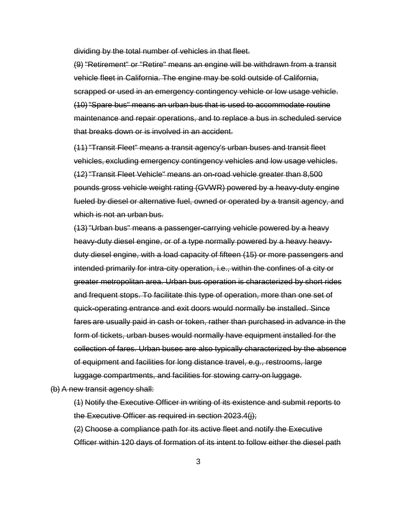dividing by the total number of vehicles in that fleet.

(9) "Retirement" or "Retire" means an engine will be withdrawn from a transit vehicle fleet in California. The engine may be sold outside of California, scrapped or used in an emergency contingency vehicle or low usage vehicle. (10) "Spare bus" means an urban bus that is used to accommodate routine maintenance and repair operations, and to replace a bus in scheduled service that breaks down or is involved in an accident.

(11) "Transit Fleet" means a transit agency's urban buses and transit fleet vehicles, excluding emergency contingency vehicles and low usage vehicles. (12) "Transit Fleet Vehicle" means an on-road vehicle greater than 8,500 pounds gross vehicle weight rating (GVWR) powered by a heavy-duty engine fueled by diesel or alternative fuel, owned or operated by a transit agency, and which is not an urban bus.

(13) "Urban bus" means a passenger-carrying vehicle powered by a heavy heavy-duty diesel engine, or of a type normally powered by a heavy heavyduty diesel engine, with a load capacity of fifteen (15) or more passengers and intended primarily for intra-city operation, i.e., within the confines of a city or greater metropolitan area. Urban bus operation is characterized by short rides and frequent stops. To facilitate this type of operation, more than one set of quick-operating entrance and exit doors would normally be installed. Since fares are usually paid in cash or token, rather than purchased in advance in the form of tickets, urban buses would normally have equipment installed for the collection of fares. Urban buses are also typically characterized by the absence of equipment and facilities for long distance travel, e.g., restrooms, large luggage compartments, and facilities for stowing carry-on luggage.

(b) A new transit agency shall:

(1) Notify the Executive Officer in writing of its existence and submit reports to the Executive Officer as required in section 2023.4(j);

(2) Choose a compliance path for its active fleet and notify the Executive Officer within 120 days of formation of its intent to follow either the diesel path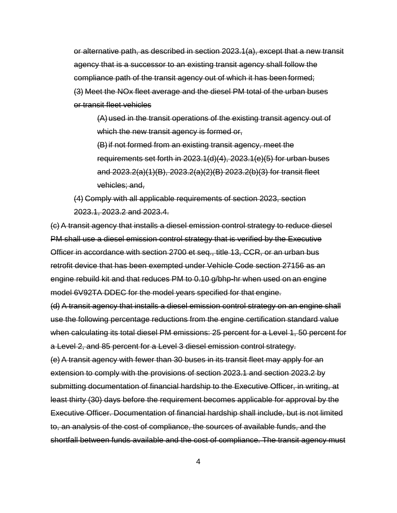or alternative path, as described in section 2023.1(a), except that a new transit agency that is a successor to an existing transit agency shall follow the compliance path of the transit agency out of which it has been formed; (3) Meet the NOx fleet average and the diesel PM total of the urban buses or transit fleet vehicles

(A) used in the transit operations of the existing transit agency out of which the new transit agency is formed or,

(B)if not formed from an existing transit agency, meet the requirements set forth in 2023.1(d)(4), 2023.1(e)(5) for urban buses and 2023.2(a)(1)(B), 2023.2(a)(2)(B) 2023.2(b)(3) for transit fleet vehicles; and,

(4) Comply with all applicable requirements of section 2023, section 2023.1, 2023.2 and 2023.4.

(c) A transit agency that installs a diesel emission control strategy to reduce diesel PM shall use a diesel emission control strategy that is verified by the Executive Officer in accordance with section 2700 et seq., title 13, CCR, or an urban bus retrofit device that has been exempted under Vehicle Code section 27156 as an engine rebuild kit and that reduces PM to 0.10 g/bhp-hr when used on an engine model 6V92TA DDEC for the model years specified for that engine.

(d) A transit agency that installs a diesel emission control strategy on an engine shall use the following percentage reductions from the engine certification standard value when calculating its total diesel PM emissions: 25 percent for a Level 1, 50 percent for a Level 2, and 85 percent for a Level 3 diesel emission control strategy.

(e) A transit agency with fewer than 30 buses in its transit fleet may apply for an extension to comply with the provisions of section 2023.1 and section 2023.2 by submitting documentation of financial hardship to the Executive Officer, in writing, at least thirty (30) days before the requirement becomes applicable for approval by the Executive Officer. Documentation of financial hardship shall include, but is not limited to, an analysis of the cost of compliance, the sources of available funds, and the shortfall between funds available and the cost of compliance. The transit agency must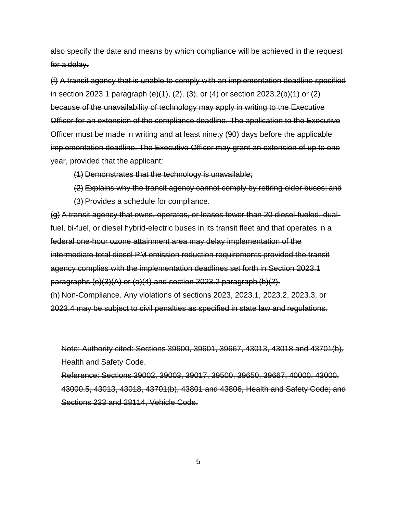also specify the date and means by which compliance will be achieved in the request for a delay.

(f) A transit agency that is unable to comply with an implementation deadline specified in section 2023.1 paragraph (e)(1), (2), (3), or (4) or section 2023.2(b)(1) or (2) because of the unavailability of technology may apply in writing to the Executive Officer for an extension of the compliance deadline. The application to the Executive Officer must be made in writing and at least ninety (90) days before the applicable implementation deadline. The Executive Officer may grant an extension of up to one year, provided that the applicant:

(1) Demonstrates that the technology is unavailable;

- (2) Explains why the transit agency cannot comply by retiring older buses; and
- (3) Provides a schedule for compliance.

(g) A transit agency that owns, operates, or leases fewer than 20 diesel-fueled, dualfuel, bi-fuel, or diesel hybrid-electric buses in its transit fleet and that operates in a federal one-hour ozone attainment area may delay implementation of the intermediate total diesel PM emission reduction requirements provided the transit agency complies with the implementation deadlines set forth in Section 2023.1 paragraphs (e)(3)(A) or (e)(4) and section 2023.2 paragraph (b)(2). (h) Non-Compliance. Any violations of sections 2023, 2023.1, 2023.2, 2023.3, or 2023.4 may be subject to civil penalties as specified in state law and regulations.

Note: Authority cited: Sections 39600, 39601, 39667, 43013, 43018 and 43701(b), Health and Safety Code.

Reference: Sections 39002, 39003, 39017, 39500, 39650, 39667, 40000, 43000, 43000.5, 43013, 43018, 43701(b), 43801 and 43806, Health and Safety Code; and Sections 233 and 28114, Vehicle Code.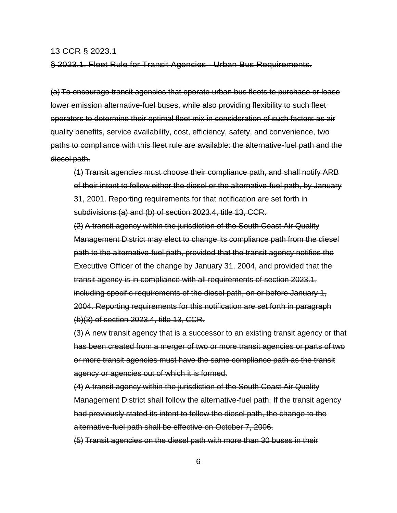#### 13 CCR § 2023.1

§ 2023.1. Fleet Rule for Transit Agencies - Urban Bus Requirements.

(a) To encourage transit agencies that operate urban bus fleets to purchase or lease lower emission alternative-fuel buses, while also providing flexibility to such fleet operators to determine their optimal fleet mix in consideration of such factors as air quality benefits, service availability, cost, efficiency, safety, and convenience, two paths to compliance with this fleet rule are available: the alternative-fuel path and the diesel path.

(1) Transit agencies must choose their compliance path, and shall notify ARB of their intent to follow either the diesel or the alternative-fuel path, by January 31, 2001. Reporting requirements for that notification are set forth in subdivisions (a) and (b) of section 2023.4, title 13, CCR.

(2) A transit agency within the jurisdiction of the South Coast Air Quality Management District may elect to change its compliance path from the diesel path to the alternative-fuel path, provided that the transit agency notifies the Executive Officer of the change by January 31, 2004, and provided that the transit agency is in compliance with all requirements of section 2023.1, including specific requirements of the diesel path, on or before January 1, 2004. Reporting requirements for this notification are set forth in paragraph (b)(3) of section 2023.4, title 13, CCR.

(3) A new transit agency that is a successor to an existing transit agency or that has been created from a merger of two or more transit agencies or parts of two or more transit agencies must have the same compliance path as the transit agency or agencies out of which it is formed.

(4) A transit agency within the jurisdiction of the South Coast Air Quality Management District shall follow the alternative-fuel path. If the transit agency had previously stated its intent to follow the diesel path, the change to the alternative-fuel path shall be effective on October 7, 2006.

(5) Transit agencies on the diesel path with more than 30 buses in their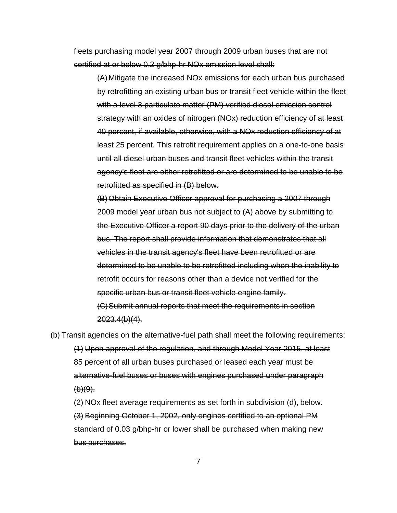fleets purchasing model year 2007 through 2009 urban buses that are not certified at or below 0.2 g/bhp-hr NOx emission level shall:

(A) Mitigate the increased NOx emissions for each urban bus purchased by retrofitting an existing urban bus or transit fleet vehicle within the fleet with a level 3 particulate matter (PM) verified diesel emission control strategy with an oxides of nitrogen (NOx) reduction efficiency of at least 40 percent, if available, otherwise, with a NOx reduction efficiency of at least 25 percent. This retrofit requirement applies on a one-to-one basis until all diesel urban buses and transit fleet vehicles within the transit agency's fleet are either retrofitted or are determined to be unable to be retrofitted as specified in (B) below.

(B)Obtain Executive Officer approval for purchasing a 2007 through 2009 model year urban bus not subject to (A) above by submitting to the Executive Officer a report 90 days prior to the delivery of the urban bus. The report shall provide information that demonstrates that all vehicles in the transit agency's fleet have been retrofitted or are determined to be unable to be retrofitted including when the inability to retrofit occurs for reasons other than a device not verified for the specific urban bus or transit fleet vehicle engine family. (C)Submit annual reports that meet the requirements in section 2023.4(b)(4).

(b) Transit agencies on the alternative-fuel path shall meet the following requirements: (1) Upon approval of the regulation, and through Model Year 2015, at least 85 percent of all urban buses purchased or leased each year must be alternative-fuel buses or buses with engines purchased under paragraph  $(b)(9)$ .

(2) NOx fleet average requirements as set forth in subdivision (d), below. (3) Beginning October 1, 2002, only engines certified to an optional PM standard of 0.03 g/bhp-hr or lower shall be purchased when making new bus purchases.

7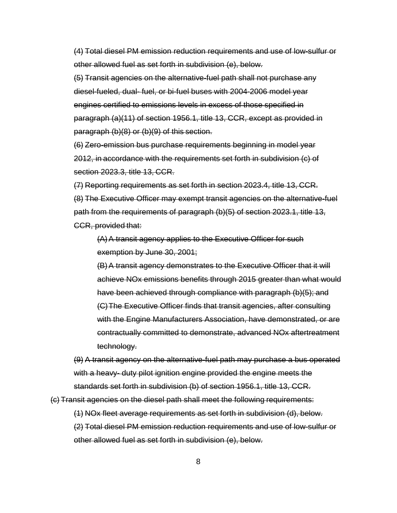(4) Total diesel PM emission reduction requirements and use of low-sulfur or other allowed fuel as set forth in subdivision (e), below.

(5) Transit agencies on the alternative-fuel path shall not purchase any diesel-fueled, dual- fuel, or bi-fuel buses with 2004-2006 model year engines certified to emissions levels in excess of those specified in paragraph (a)(11) of section 1956.1, title 13, CCR, except as provided in paragraph (b)(8) or (b)(9) of this section.

(6) Zero-emission bus purchase requirements beginning in model year 2012, in accordance with the requirements set forth in subdivision (c) of section 2023.3, title 13, CCR.

(7) Reporting requirements as set forth in section 2023.4, title 13, CCR. (8) The Executive Officer may exempt transit agencies on the alternative-fuel path from the requirements of paragraph (b)(5) of section 2023.1, title 13, CCR, provided that:

(A)A transit agency applies to the Executive Officer for such exemption by June 30, 2001;

(B)A transit agency demonstrates to the Executive Officer that it will achieve NOx emissions benefits through 2015 greater than what would have been achieved through compliance with paragraph (b)(5); and (C)The Executive Officer finds that transit agencies, after consulting with the Engine Manufacturers Association, have demonstrated, or are contractually committed to demonstrate, advanced NOx aftertreatment technology.

(9) A transit agency on the alternative-fuel path may purchase a bus operated with a heavy- duty pilot ignition engine provided the engine meets the standards set forth in subdivision (b) of section 1956.1, title 13, CCR.

(c) Transit agencies on the diesel path shall meet the following requirements:

(1) NOx fleet average requirements as set forth in subdivision (d), below.

(2) Total diesel PM emission reduction requirements and use of low-sulfur or other allowed fuel as set forth in subdivision (e), below.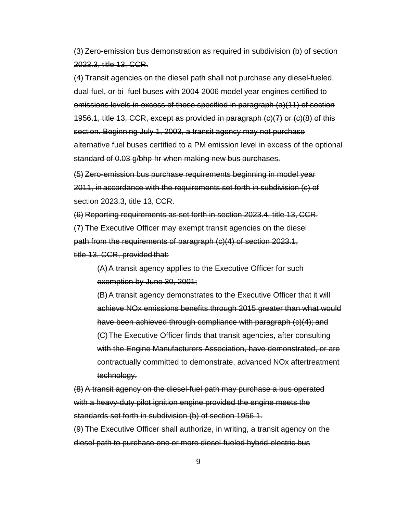(3) Zero-emission bus demonstration as required in subdivision (b) of section 2023.3, title 13, CCR.

(4) Transit agencies on the diesel path shall not purchase any diesel-fueled, dual-fuel, or bi- fuel buses with 2004-2006 model year engines certified to emissions levels in excess of those specified in paragraph (a)(11) of section 1956.1, title 13, CCR, except as provided in paragraph (c)(7) or (c)(8) of this section. Beginning July 1, 2003, a transit agency may not purchase alternative fuel buses certified to a PM emission level in excess of the optional standard of 0.03 g/bhp-hr when making new bus purchases.

(5) Zero-emission bus purchase requirements beginning in model year 2011, in accordance with the requirements set forth in subdivision (c) of section 2023.3, title 13, CCR.

(6) Reporting requirements as set forth in section 2023.4, title 13, CCR. (7) The Executive Officer may exempt transit agencies on the diesel path from the requirements of paragraph (c)(4) of section 2023.1, title 13, CCR, provided that:

(A)A transit agency applies to the Executive Officer for such exemption by June 30, 2001;

(B)A transit agency demonstrates to the Executive Officer that it will achieve NOx emissions benefits through 2015 greater than what would have been achieved through compliance with paragraph (c)(4); and (C)The Executive Officer finds that transit agencies, after consulting with the Engine Manufacturers Association, have demonstrated, or are contractually committed to demonstrate, advanced NOx aftertreatment technology.

(8) A transit agency on the diesel-fuel path may purchase a bus operated with a heavy-duty pilot ignition engine provided the engine meets the standards set forth in subdivision (b) of section 1956.1.

(9) The Executive Officer shall authorize, in writing, a transit agency on the diesel path to purchase one or more diesel-fueled hybrid-electric bus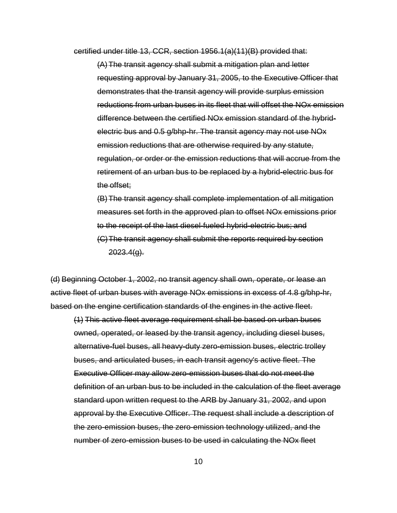certified under title 13, CCR, section 1956.1(a)(11)(B) provided that:

(A)The transit agency shall submit a mitigation plan and letter requesting approval by January 31, 2005, to the Executive Officer that demonstrates that the transit agency will provide surplus emission reductions from urban buses in its fleet that will offset the NOx emission difference between the certified NOx emission standard of the hybridelectric bus and 0.5 g/bhp-hr. The transit agency may not use NOx emission reductions that are otherwise required by any statute, regulation, or order or the emission reductions that will accrue from the retirement of an urban bus to be replaced by a hybrid-electric bus for the offset;

(B)The transit agency shall complete implementation of all mitigation measures set forth in the approved plan to offset NOx emissions prior to the receipt of the last diesel-fueled hybrid-electric bus; and (C)The transit agency shall submit the reports required by section  $2023.4(q)$ .

(d) Beginning October 1, 2002, no transit agency shall own, operate, or lease an active fleet of urban buses with average NOx emissions in excess of 4.8 g/bhp-hr, based on the engine certification standards of the engines in the active fleet.

(1) This active fleet average requirement shall be based on urban buses owned, operated, or leased by the transit agency, including diesel buses, alternative-fuel buses, all heavy-duty zero-emission buses, electric trolley buses, and articulated buses, in each transit agency's active fleet. The Executive Officer may allow zero-emission buses that do not meet the definition of an urban bus to be included in the calculation of the fleet average standard upon written request to the ARB by January 31, 2002, and upon approval by the Executive Officer. The request shall include a description of the zero-emission buses, the zero-emission technology utilized, and the number of zero-emission buses to be used in calculating the NOx fleet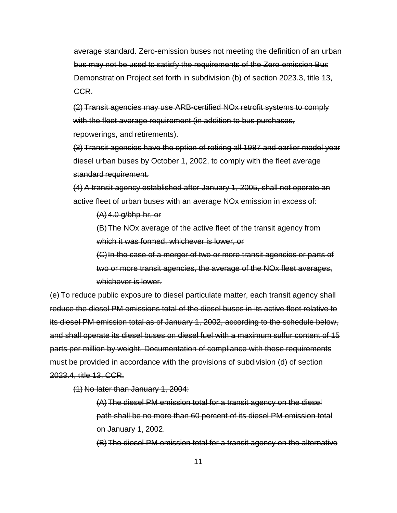average standard. Zero-emission buses not meeting the definition of an urban bus may not be used to satisfy the requirements of the Zero-emission Bus Demonstration Project set forth in subdivision (b) of section 2023.3, title 13, CCR.

(2) Transit agencies may use ARB-certified NOx retrofit systems to comply with the fleet average requirement (in addition to bus purchases, repowerings, and retirements).

(3) Transit agencies have the option of retiring all 1987 and earlier model year diesel urban buses by October 1, 2002, to comply with the fleet average standard requirement.

(4) A transit agency established after January 1, 2005, shall not operate an active fleet of urban buses with an average NOx emission in excess of:

(A) 4.0 g/bhp-hr, or

(B)The NOx average of the active fleet of the transit agency from which it was formed, whichever is lower, or

(C)In the case of a merger of two or more transit agencies or parts of two or more transit agencies, the average of the NOx fleet averages, whichever is lower.

(e) To reduce public exposure to diesel particulate matter, each transit agency shall reduce the diesel PM emissions total of the diesel buses in its active fleet relative to its diesel PM emission total as of January 1, 2002, according to the schedule below, and shall operate its diesel buses on diesel fuel with a maximum sulfur content of 15 parts per million by weight. Documentation of compliance with these requirements must be provided in accordance with the provisions of subdivision (d) of section 2023.4, title 13, CCR.

(1) No later than January 1, 2004:

(A)The diesel PM emission total for a transit agency on the diesel path shall be no more than 60 percent of its diesel PM emission total on January 1, 2002.

(B)The diesel PM emission total for a transit agency on the alternative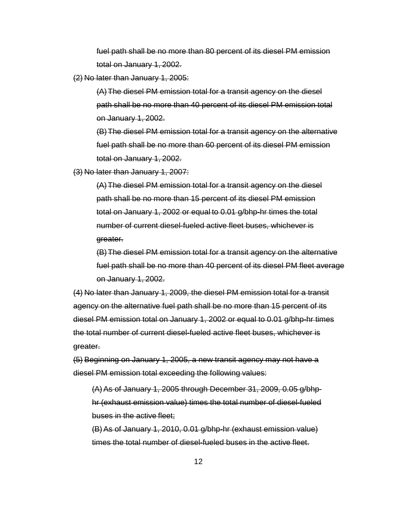fuel path shall be no more than 80 percent of its diesel PM emission total on January 1, 2002.

(2) No later than January 1, 2005:

(A)The diesel PM emission total for a transit agency on the diesel path shall be no more than 40 percent of its diesel PM emission total on January 1, 2002.

(B)The diesel PM emission total for a transit agency on the alternative fuel path shall be no more than 60 percent of its diesel PM emission total on January 1, 2002.

(3) No later than January 1, 2007:

(A)The diesel PM emission total for a transit agency on the diesel path shall be no more than 15 percent of its diesel PM emission total on January 1, 2002 or equal to 0.01 g/bhp-hr times the total number of current diesel-fueled active fleet buses, whichever is greater.

(B)The diesel PM emission total for a transit agency on the alternative fuel path shall be no more than 40 percent of its diesel PM fleet average on January 1, 2002.

(4) No later than January 1, 2009, the diesel PM emission total for a transit agency on the alternative fuel path shall be no more than 15 percent of its diesel PM emission total on January 1, 2002 or equal to 0.01 g/bhp-hr times the total number of current diesel-fueled active fleet buses, whichever is greater.

(5) Beginning on January 1, 2005, a new transit agency may not have a diesel PM emission total exceeding the following values:

(A)As of January 1, 2005 through December 31, 2009, 0.05 g/bhphr (exhaust emission value) times the total number of diesel-fueled buses in the active fleet;

(B)As of January 1, 2010, 0.01 g/bhp-hr (exhaust emission value) times the total number of diesel-fueled buses in the active fleet.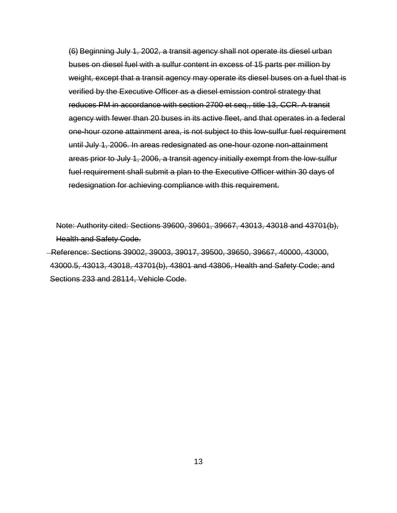(6) Beginning July 1, 2002, a transit agency shall not operate its diesel urban buses on diesel fuel with a sulfur content in excess of 15 parts per million by weight, except that a transit agency may operate its diesel buses on a fuel that is verified by the Executive Officer as a diesel emission control strategy that reduces PM in accordance with section 2700 et seq., title 13, CCR. A transit agency with fewer than 20 buses in its active fleet, and that operates in a federal one-hour ozone attainment area, is not subject to this low-sulfur fuel requirement until July 1, 2006. In areas redesignated as one-hour ozone non-attainment areas prior to July 1, 2006, a transit agency initially exempt from the low-sulfur fuel requirement shall submit a plan to the Executive Officer within 30 days of redesignation for achieving compliance with this requirement.

Note: Authority cited: Sections 39600, 39601, 39667, 43013, 43018 and 43701(b), Health and Safety Code.

 Reference: Sections 39002, 39003, 39017, 39500, 39650, 39667, 40000, 43000, 43000.5, 43013, 43018, 43701(b), 43801 and 43806, Health and Safety Code; and Sections 233 and 28114, Vehicle Code.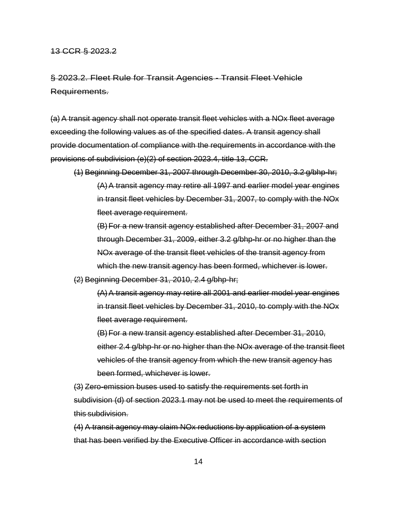### 13 CCR § 2023.2

§ 2023.2. Fleet Rule for Transit Agencies - Transit Fleet Vehicle Requirements.

(a) A transit agency shall not operate transit fleet vehicles with a NOx fleet average exceeding the following values as of the specified dates. A transit agency shall provide documentation of compliance with the requirements in accordance with the provisions of subdivision (e)(2) of section 2023.4, title 13, CCR.

(1) Beginning December 31, 2007 through December 30, 2010, 3.2 g/bhp-hr; (A)A transit agency may retire all 1997 and earlier model year engines in transit fleet vehicles by December 31, 2007, to comply with the NOx fleet average requirement.

(B)For a new transit agency established after December 31, 2007 and through December 31, 2009, either 3.2 g/bhp-hr or no higher than the NOx average of the transit fleet vehicles of the transit agency from which the new transit agency has been formed, whichever is lower.

(2) Beginning December 31, 2010, 2.4 g/bhp-hr;

(A)A transit agency may retire all 2001 and earlier model year engines in transit fleet vehicles by December 31, 2010, to comply with the NOx fleet average requirement.

(B)For a new transit agency established after December 31, 2010, either 2.4 g/bhp-hr or no higher than the NOx average of the transit fleet vehicles of the transit agency from which the new transit agency has been formed, whichever is lower.

(3) Zero-emission buses used to satisfy the requirements set forth in subdivision (d) of section 2023.1 may not be used to meet the requirements of this subdivision.

(4) A transit agency may claim NOx reductions by application of a system that has been verified by the Executive Officer in accordance with section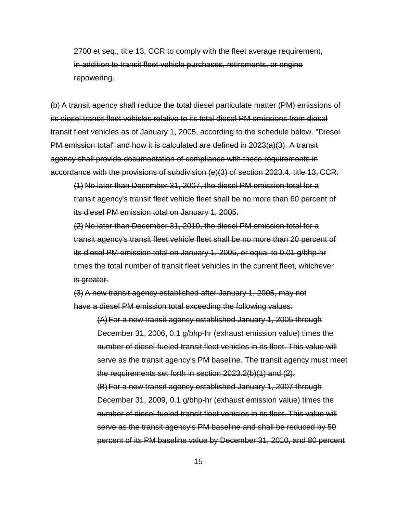2700 et seq., title 13, CCR to comply with the fleet average requirement, in addition to transit fleet vehicle purchases, retirements, or engine repowering.

(b) A transit agency shall reduce the total diesel particulate matter (PM) emissions of its diesel transit fleet vehicles relative to its total diesel PM emissions from diesel transit fleet vehicles as of January 1, 2005, according to the schedule below. "Diesel PM emission total" and how it is calculated are defined in 2023(a)(3). A transit agency shall provide documentation of compliance with these requirements in accordance with the provisions of subdivision (e)(3) of section 2023.4, title 13, CCR.

(1) No later than December 31, 2007, the diesel PM emission total for a transit agency's transit fleet vehicle fleet shall be no more than 60 percent of its diesel PM emission total on January 1, 2005.

(2) No later than December 31, 2010, the diesel PM emission total for a transit agency's transit fleet vehicle fleet shall be no more than 20 percent of its diesel PM emission total on January 1, 2005, or equal to 0.01 g/bhp-hr times the total number of transit fleet vehicles in the current fleet, whichever is greater.

(3) A new transit agency established after January 1, 2005, may not have a diesel PM emission total exceeding the following values:

(A)For a new transit agency established January 1, 2005 through December 31, 2006, 0.1 g/bhp-hr (exhaust emission value) times the number of diesel-fueled transit fleet vehicles in its fleet. This value will serve as the transit agency's PM baseline. The transit agency must meet the requirements set forth in section 2023.2(b)(1) and (2). (B)For a new transit agency established January 1, 2007 through December 31, 2009, 0.1 g/bhp-hr (exhaust emission value) times the number of diesel-fueled transit fleet vehicles in its fleet. This value will serve as the transit agency's PM baseline and shall be reduced by 50 percent of its PM baseline value by December 31, 2010, and 80 percent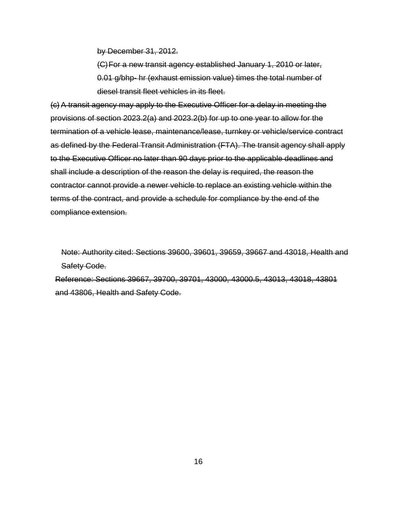by December 31, 2012.

(C)For a new transit agency established January 1, 2010 or later, 0.01 g/bhp- hr (exhaust emission value) times the total number of diesel transit fleet vehicles in its fleet.

(c) A transit agency may apply to the Executive Officer for a delay in meeting the provisions of section 2023.2(a) and 2023.2(b) for up to one year to allow for the termination of a vehicle lease, maintenance/lease, turnkey or vehicle/service contract as defined by the Federal Transit Administration (FTA). The transit agency shall apply to the Executive Officer no later than 90 days prior to the applicable deadlines and shall include a description of the reason the delay is required, the reason the contractor cannot provide a newer vehicle to replace an existing vehicle within the terms of the contract, and provide a schedule for compliance by the end of the compliance extension.

Note: Authority cited: Sections 39600, 39601, 39659, 39667 and 43018, Health and Safety Code.

Reference: Sections 39667, 39700, 39701, 43000, 43000.5, 43013, 43018, 43801 and 43806, Health and Safety Code.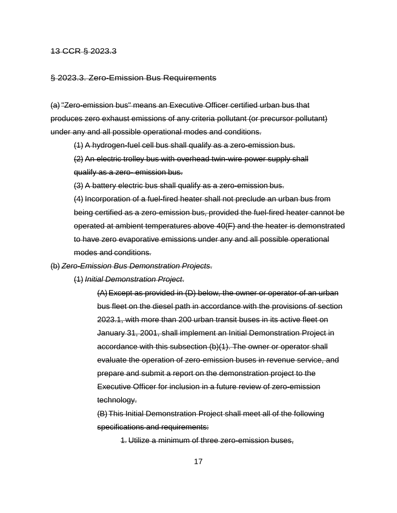### 13 CCR § 2023.3

### § 2023.3. Zero-Emission Bus Requirements

(a) "Zero-emission bus" means an Executive Officer certified urban bus that produces zero exhaust emissions of any criteria pollutant (or precursor pollutant) under any and all possible operational modes and conditions.

(1) A hydrogen-fuel cell bus shall qualify as a zero-emission bus.

(2) An electric trolley bus with overhead twin-wire power supply shall qualify as a zero- emission bus.

(3) A battery electric bus shall qualify as a zero-emission bus.

(4) Incorporation of a fuel-fired heater shall not preclude an urban bus from being certified as a zero-emission bus, provided the fuel-fired heater cannot be operated at ambient temperatures above 40(F) and the heater is demonstrated to have zero evaporative emissions under any and all possible operational modes and conditions.

(b) *Zero-Emission Bus Demonstration Projects*.

(1) *Initial Demonstration Project*.

(A)Except as provided in (D) below, the owner or operator of an urban bus fleet on the diesel path in accordance with the provisions of section 2023.1, with more than 200 urban transit buses in its active fleet on January 31, 2001, shall implement an Initial Demonstration Project in accordance with this subsection (b)(1). The owner or operator shall evaluate the operation of zero-emission buses in revenue service, and prepare and submit a report on the demonstration project to the Executive Officer for inclusion in a future review of zero-emission technology.

(B)This Initial Demonstration Project shall meet all of the following specifications and requirements:

1. Utilize a minimum of three zero-emission buses,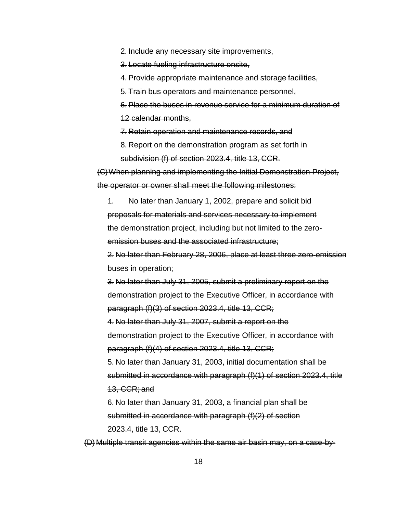2. Include any necessary site improvements,

3. Locate fueling infrastructure onsite,

4. Provide appropriate maintenance and storage facilities,

5. Train bus operators and maintenance personnel,

6. Place the buses in revenue service for a minimum duration of

12 calendar months,

7. Retain operation and maintenance records, and

8. Report on the demonstration program as set forth in subdivision (f) of section 2023.4, title 13, CCR.

(C)When planning and implementing the Initial Demonstration Project, the operator or owner shall meet the following milestones:

1. No later than January 1, 2002, prepare and solicit bid proposals for materials and services necessary to implement the demonstration project, including but not limited to the zeroemission buses and the associated infrastructure;

2. No later than February 28, 2006, place at least three zero-emission buses in operation;

3. No later than July 31, 2005, submit a preliminary report on the demonstration project to the Executive Officer, in accordance with paragraph (f)(3) of section 2023.4, title 13, CCR;

4. No later than July 31, 2007, submit a report on the demonstration project to the Executive Officer, in accordance with paragraph (f)(4) of section 2023.4, title 13, CCR;

5. No later than January 31, 2003, initial documentation shall be submitted in accordance with paragraph (f)(1) of section 2023.4, title 13, CCR; and

6. No later than January 31, 2003, a financial plan shall be submitted in accordance with paragraph (f)(2) of section 2023.4, title 13, CCR.

(D) Multiple transit agencies within the same air basin may, on a case-by-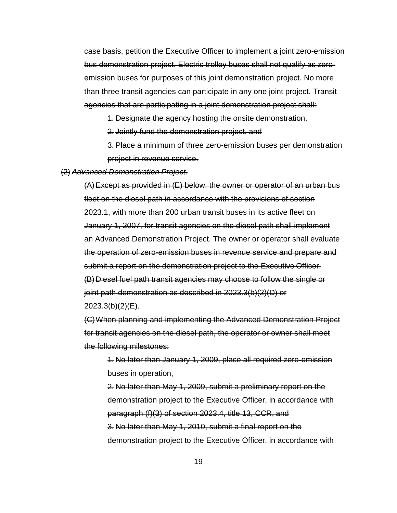case basis, petition the Executive Officer to implement a joint zero-emission bus demonstration project. Electric trolley buses shall not qualify as zeroemission buses for purposes of this joint demonstration project. No more than three transit agencies can participate in any one joint project. Transit agencies that are participating in a joint demonstration project shall:

1. Designate the agency hosting the onsite demonstration,

2. Jointly fund the demonstration project, and

3. Place a minimum of three zero-emission buses per demonstration project in revenue service.

### (2) *Advanced Demonstration Project*.

(A)Except as provided in (E) below, the owner or operator of an urban bus fleet on the diesel path in accordance with the provisions of section 2023.1, with more than 200 urban transit buses in its active fleet on January 1, 2007, for transit agencies on the diesel path shall implement an Advanced Demonstration Project. The owner or operator shall evaluate the operation of zero-emission buses in revenue service and prepare and submit a report on the demonstration project to the Executive Officer. (B) Diesel fuel path transit agencies may choose to follow the single or joint path demonstration as described in 2023.3(b)(2)(D) or  $2023.3(b)(2)(E)$ .

(C)When planning and implementing the Advanced Demonstration Project for transit agencies on the diesel path, the operator or owner shall meet the following milestones:

1. No later than January 1, 2009, place all required zero-emission buses in operation,

2. No later than May 1, 2009, submit a preliminary report on the demonstration project to the Executive Officer, in accordance with paragraph (f)(3) of section 2023.4, title 13, CCR, and 3. No later than May 1, 2010, submit a final report on the demonstration project to the Executive Officer, in accordance with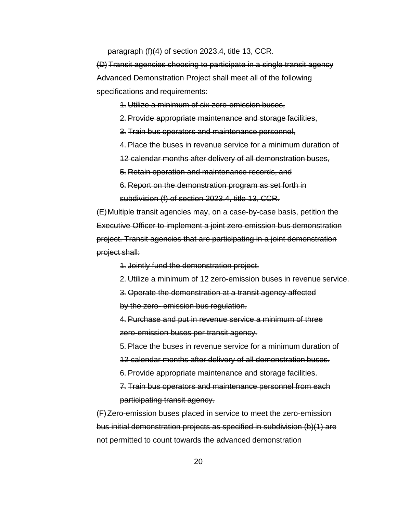paragraph (f)(4) of section 2023.4, title 13, CCR.

(D) Transit agencies choosing to participate in a single transit agency Advanced Demonstration Project shall meet all of the following specifications and requirements:

1. Utilize a minimum of six zero-emission buses,

2. Provide appropriate maintenance and storage facilities,

3. Train bus operators and maintenance personnel,

4. Place the buses in revenue service for a minimum duration of

12 calendar months after delivery of all demonstration buses,

5. Retain operation and maintenance records, and

6. Report on the demonstration program as set forth in subdivision (f) of section 2023.4, title 13, CCR.

(E)Multiple transit agencies may, on a case-by-case basis, petition the Executive Officer to implement a joint zero-emission bus demonstration project. Transit agencies that are participating in a joint demonstration project shall:

1. Jointly fund the demonstration project.

2. Utilize a minimum of 12 zero-emission buses in revenue service.

3. Operate the demonstration at a transit agency affected

by the zero- emission bus regulation.

4. Purchase and put in revenue service a minimum of three zero-emission buses per transit agency.

5. Place the buses in revenue service for a minimum duration of

12 calendar months after delivery of all demonstration buses.

6. Provide appropriate maintenance and storage facilities.

7. Train bus operators and maintenance personnel from each participating transit agency.

(F)Zero-emission buses placed in service to meet the zero-emission bus initial demonstration projects as specified in subdivision (b)(1) are not permitted to count towards the advanced demonstration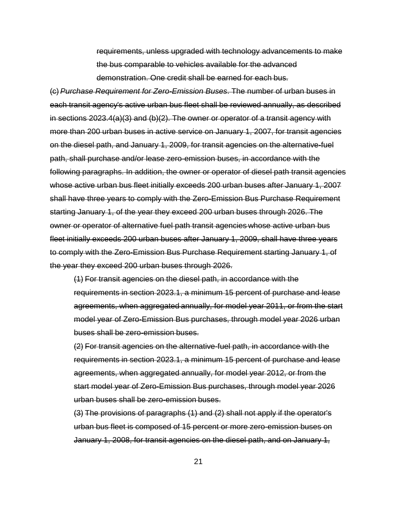requirements, unless upgraded with technology advancements to make the bus comparable to vehicles available for the advanced demonstration. One credit shall be earned for each bus.

(c) *Purchase Requirement for Zero-Emission Buses*. The number of urban buses in each transit agency's active urban bus fleet shall be reviewed annually, as described in sections 2023.4(a)(3) and (b)(2). The owner or operator of a transit agency with more than 200 urban buses in active service on January 1, 2007, for transit agencies on the diesel path, and January 1, 2009, for transit agencies on the alternative-fuel path, shall purchase and/or lease zero-emission buses, in accordance with the following paragraphs. In addition, the owner or operator of diesel path transit agencies whose active urban bus fleet initially exceeds 200 urban buses after January 1, 2007 shall have three years to comply with the Zero-Emission Bus Purchase Requirement starting January 1, of the year they exceed 200 urban buses through 2026. The owner or operator of alternative fuel path transit agencies whose active urban bus fleet initially exceeds 200 urban buses after January 1, 2009, shall have three years to comply with the Zero-Emission Bus Purchase Requirement starting January 1, of the year they exceed 200 urban buses through 2026.

(1) For transit agencies on the diesel path, in accordance with the requirements in section 2023.1, a minimum 15 percent of purchase and lease agreements, when aggregated annually, for model year 2011, or from the start model year of Zero-Emission Bus purchases, through model year 2026 urban buses shall be zero-emission buses.

(2) For transit agencies on the alternative-fuel path, in accordance with the requirements in section 2023.1, a minimum 15 percent of purchase and lease agreements, when aggregated annually, for model year 2012, or from the start model year of Zero-Emission Bus purchases, through model year 2026 urban buses shall be zero-emission buses.

(3) The provisions of paragraphs (1) and (2) shall not apply if the operator's urban bus fleet is composed of 15 percent or more zero-emission buses on January 1, 2008, for transit agencies on the diesel path, and on January 1,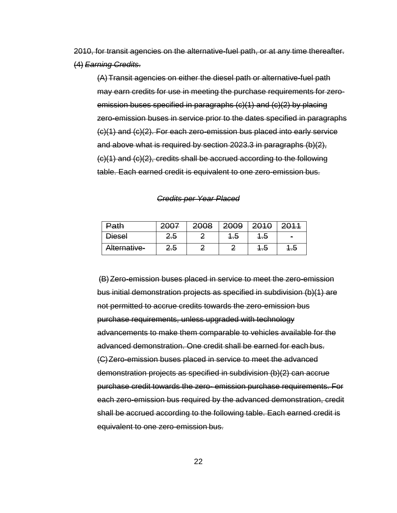2010, for transit agencies on the alternative-fuel path, or at any time thereafter. (4) *Earning Credits*.

(A)Transit agencies on either the diesel path or alternative-fuel path may earn credits for use in meeting the purchase requirements for zeroemission buses specified in paragraphs (c)(1) and (c)(2) by placing zero-emission buses in service prior to the dates specified in paragraphs (c)(1) and (c)(2). For each zero-emission bus placed into early service and above what is required by section 2023.3 in paragraphs (b)(2), (c)(1) and (c)(2), credits shall be accrued according to the following table. Each earned credit is equivalent to one zero-emission bus.

| <u>Path</u>   | $400 +$        | 2008 | 2009           | ດ∧∢ດ<br>$20+0$ |            |
|---------------|----------------|------|----------------|----------------|------------|
| <b>Diesel</b> | <del>2.5</del> | ┍    | <del>1.5</del> | <del>1.5</del> | $\sim$     |
| Alternative-  | <del>2.5</del> | ┍    | z              | <del>1.0</del> | – In<br>г. |

*Credits per Year Placed*

(B)Zero-emission buses placed in service to meet the zero-emission bus initial demonstration projects as specified in subdivision (b)(1) are not permitted to accrue credits towards the zero-emission bus purchase requirements, unless upgraded with technology advancements to make them comparable to vehicles available for the advanced demonstration. One credit shall be earned for each bus. (C)Zero-emission buses placed in service to meet the advanced demonstration projects as specified in subdivision (b)(2) can accrue purchase credit towards the zero- emission purchase requirements. For each zero-emission bus required by the advanced demonstration, credit shall be accrued according to the following table. Each earned credit is equivalent to one zero-emission bus.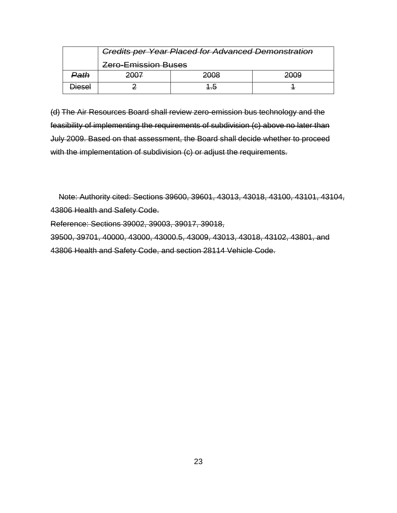|                             | <b>Credits per Year Placed for Advanced Demonstration</b> |      |      |  |  |
|-----------------------------|-----------------------------------------------------------|------|------|--|--|
|                             | <b>Zero-Emission Buses</b>                                |      |      |  |  |
| Path                        | 2007 F                                                    | zuuo | 2009 |  |  |
| اءءمند<br><del>DICOCI</del> |                                                           |      |      |  |  |

(d) The Air Resources Board shall review zero-emission bus technology and the feasibility of implementing the requirements of subdivision (c) above no later than July 2009. Based on that assessment, the Board shall decide whether to proceed with the implementation of subdivision (c) or adjust the requirements.

Note: Authority cited: Sections 39600, 39601, 43013, 43018, 43100, 43101, 43104, 43806 Health and Safety Code.

Reference: Sections 39002, 39003, 39017, 39018,

39500, 39701, 40000, 43000, 43000.5, 43009, 43013, 43018, 43102, 43801, and 43806 Health and Safety Code, and section 28114 Vehicle Code.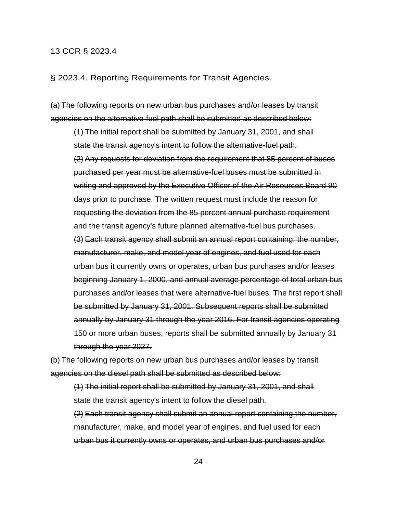### 13 CCR § 2023.4

§ 2023.4. Reporting Requirements for Transit Agencies.

(a) The following reports on new urban bus purchases and/or leases by transit agencies on the alternative-fuel path shall be submitted as described below:

(1) The initial report shall be submitted by January 31, 2001, and shall state the transit agency's intent to follow the alternative-fuel path. (2) Any requests for deviation from the requirement that 85 percent of buses purchased per year must be alternative-fuel buses must be submitted in writing and approved by the Executive Officer of the Air Resources Board 90 days prior to purchase. The written request must include the reason for requesting the deviation from the 85 percent annual purchase requirement and the transit agency's future planned alternative-fuel bus purchases. (3) Each transit agency shall submit an annual report containing: the number, manufacturer, make, and model year of engines, and fuel used for each urban bus it currently owns or operates, urban bus purchases and/or leases beginning January 1, 2000, and annual average percentage of total urban bus purchases and/or leases that were alternative-fuel buses. The first report shall be submitted by January 31, 2001. Subsequent reports shall be submitted annually by January 31 through the year 2016. For transit agencies operating 150 or more urban buses, reports shall be submitted annually by January 31 through the year 2027.

(b) The following reports on new urban bus purchases and/or leases by transit agencies on the diesel path shall be submitted as described below:

(1) The initial report shall be submitted by January 31, 2001, and shall state the transit agency's intent to follow the diesel path.

(2) Each transit agency shall submit an annual report containing the number, manufacturer, make, and model year of engines, and fuel used for each urban bus it currently owns or operates, and urban bus purchases and/or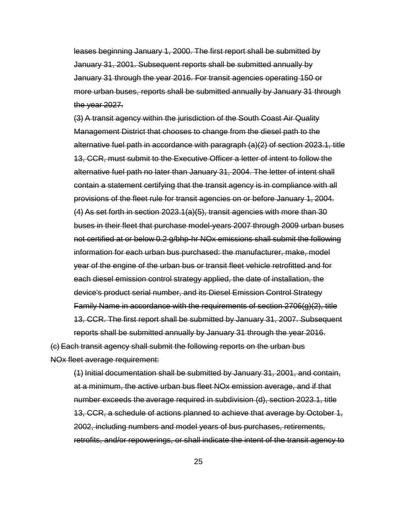leases beginning January 1, 2000. The first report shall be submitted by January 31, 2001. Subsequent reports shall be submitted annually by January 31 through the year 2016. For transit agencies operating 150 or more urban buses, reports shall be submitted annually by January 31 through the year 2027.

(3) A transit agency within the jurisdiction of the South Coast Air Quality Management District that chooses to change from the diesel path to the alternative fuel path in accordance with paragraph (a)(2) of section 2023.1, title 13, CCR, must submit to the Executive Officer a letter of intent to follow the alternative fuel path no later than January 31, 2004. The letter of intent shall contain a statement certifying that the transit agency is in compliance with all provisions of the fleet rule for transit agencies on or before January 1, 2004. (4) As set forth in section 2023.1(a)(5), transit agencies with more than 30 buses in their fleet that purchase model-years 2007 through 2009 urban buses not certified at or below 0.2 g/bhp-hr NOx emissions shall submit the following information for each urban bus purchased: the manufacturer, make, model year of the engine of the urban bus or transit fleet vehicle retrofitted and for each diesel emission control strategy applied, the date of installation, the device's product serial number, and its Diesel Emission Control Strategy Family Name in accordance with the requirements of section 2706(g)(2), title 13, CCR. The first report shall be submitted by January 31, 2007. Subsequent reports shall be submitted annually by January 31 through the year 2016.

(c) Each transit agency shall submit the following reports on the urban bus NOx fleet average requirement:

(1) Initial documentation shall be submitted by January 31, 2001, and contain, at a minimum, the active urban bus fleet NOx emission average, and if that number exceeds the average required in subdivision (d), section 2023.1, title 13, CCR, a schedule of actions planned to achieve that average by October 1, 2002, including numbers and model years of bus purchases, retirements, retrofits, and/or repowerings, or shall indicate the intent of the transit agency to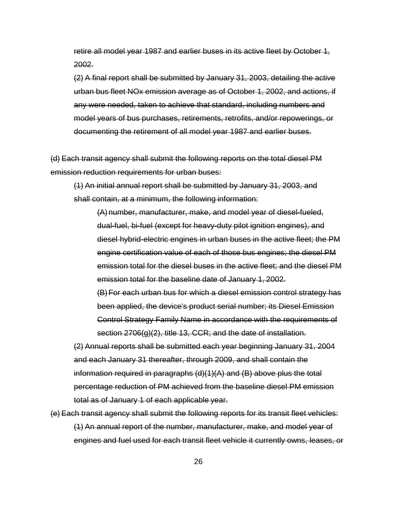retire all model year 1987 and earlier buses in its active fleet by October 1, 2002.

(2) A final report shall be submitted by January 31, 2003, detailing the active urban bus fleet NOx emission average as of October 1, 2002, and actions, if any were needed, taken to achieve that standard, including numbers and model years of bus purchases, retirements, retrofits, and/or repowerings, or documenting the retirement of all model year 1987 and earlier buses.

(d) Each transit agency shall submit the following reports on the total diesel PM emission reduction requirements for urban buses:

(1) An initial annual report shall be submitted by January 31, 2003, and shall contain, at a minimum, the following information:

(A) number, manufacturer, make, and model year of diesel-fueled, dual-fuel, bi-fuel (except for heavy-duty pilot ignition engines), and diesel hybrid-electric engines in urban buses in the active fleet; the PM engine certification value of each of those bus engines; the diesel PM emission total for the diesel buses in the active fleet; and the diesel PM emission total for the baseline date of January 1, 2002. (B)For each urban bus for which a diesel emission control strategy has

been applied, the device's product serial number; its Diesel Emission Control Strategy Family Name in accordance with the requirements of section 2706(g)(2), title 13, CCR; and the date of installation.

(2) Annual reports shall be submitted each year beginning January 31, 2004 and each January 31 thereafter, through 2009, and shall contain the information required in paragraphs (d)(1)(A) and (B) above plus the total percentage reduction of PM achieved from the baseline diesel PM emission total as of January 1 of each applicable year.

(e) Each transit agency shall submit the following reports for its transit fleet vehicles: (1) An annual report of the number, manufacturer, make, and model year of engines and fuel used for each transit fleet vehicle it currently owns, leases, or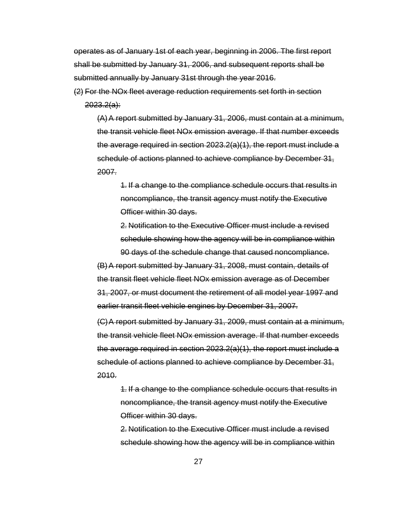operates as of January 1st of each year, beginning in 2006. The first report shall be submitted by January 31, 2006, and subsequent reports shall be submitted annually by January 31st through the year 2016.

(2) For the NOx fleet average reduction requirements set forth in section  $2023.2(a)$ :

(A)A report submitted by January 31, 2006, must contain at a minimum, the transit vehicle fleet NOx emission average. If that number exceeds the average required in section  $2023.2(a)(1)$ , the report must include a schedule of actions planned to achieve compliance by December 31, 2007.

1. If a change to the compliance schedule occurs that results in noncompliance, the transit agency must notify the Executive Officer within 30 days.

2. Notification to the Executive Officer must include a revised schedule showing how the agency will be in compliance within 90 days of the schedule change that caused noncompliance.

(B)A report submitted by January 31, 2008, must contain, details of the transit fleet vehicle fleet NOx emission average as of December 31, 2007, or must document the retirement of all model year 1997 and earlier transit fleet vehicle engines by December 31, 2007.

(C)A report submitted by January 31, 2009, must contain at a minimum, the transit vehicle fleet NOx emission average. If that number exceeds the average required in section 2023.2(a)(1), the report must include a schedule of actions planned to achieve compliance by December 31, 2010.

1. If a change to the compliance schedule occurs that results in noncompliance, the transit agency must notify the Executive Officer within 30 days.

2. Notification to the Executive Officer must include a revised schedule showing how the agency will be in compliance within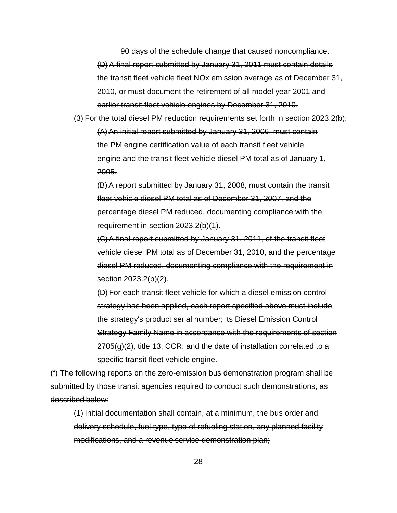90 days of the schedule change that caused noncompliance. (D)A final report submitted by January 31, 2011 must contain details the transit fleet vehicle fleet NOx emission average as of December 31, 2010, or must document the retirement of all model year 2001 and earlier transit fleet vehicle engines by December 31, 2010.

(3) For the total diesel PM reduction requirements set forth in section 2023.2(b): (A)An initial report submitted by January 31, 2006, must contain the PM engine certification value of each transit fleet vehicle engine and the transit fleet vehicle diesel PM total as of January 1, 2005.

(B)A report submitted by January 31, 2008, must contain the transit fleet vehicle diesel PM total as of December 31, 2007, and the percentage diesel PM reduced, documenting compliance with the requirement in section 2023.2(b)(1).

(C)A final report submitted by January 31, 2011, of the transit fleet vehicle diesel PM total as of December 31, 2010, and the percentage diesel PM reduced, documenting compliance with the requirement in section 2023.2(b)(2).

(D) For each transit fleet vehicle for which a diesel emission control strategy has been applied, each report specified above must include the strategy's product serial number; its Diesel Emission Control Strategy Family Name in accordance with the requirements of section  $2705(q)(2)$ , title 13, CCR; and the date of installation correlated to a specific transit fleet vehicle engine.

(f) The following reports on the zero-emission bus demonstration program shall be submitted by those transit agencies required to conduct such demonstrations, as described below:

(1) Initial documentation shall contain, at a minimum, the bus order and delivery schedule, fuel type, type of refueling station, any planned facility modifications, and a revenue service demonstration plan;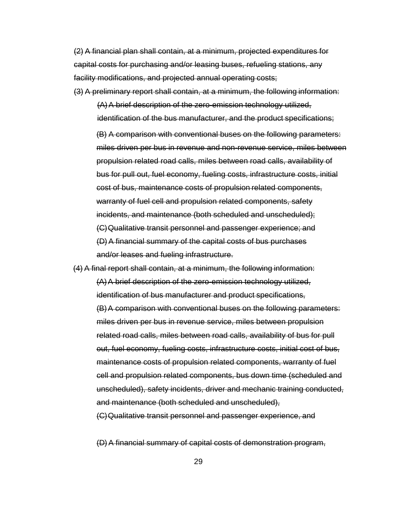(2) A financial plan shall contain, at a minimum, projected expenditures for capital costs for purchasing and/or leasing buses, refueling stations, any facility modifications, and projected annual operating costs;

(3) A preliminary report shall contain, at a minimum, the following information:

(A)A brief description of the zero-emission technology utilized, identification of the bus manufacturer, and the product specifications;

(B) A comparison with conventional buses on the following parameters: miles driven per bus in revenue and non-revenue service, miles between propulsion related road calls, miles between road calls, availability of bus for pull out, fuel economy, fueling costs, infrastructure costs, initial cost of bus, maintenance costs of propulsion related components, warranty of fuel cell and propulsion related components, safety incidents, and maintenance (both scheduled and unscheduled); (C)Qualitative transit personnel and passenger experience; and (D)A financial summary of the capital costs of bus purchases and/or leases and fueling infrastructure.

(4) A final report shall contain, at a minimum, the following information: (A)A brief description of the zero-emission technology utilized, identification of bus manufacturer and product specifications, (B)A comparison with conventional buses on the following parameters: miles driven per bus in revenue service, miles between propulsion related road calls, miles between road calls, availability of bus for pull out, fuel economy, fueling costs, infrastructure costs, initial cost of bus, maintenance costs of propulsion related components, warranty of fuel cell and propulsion related components, bus down time (scheduled and unscheduled), safety incidents, driver and mechanic training conducted, and maintenance (both scheduled and unscheduled), (C)Qualitative transit personnel and passenger experience, and

(D)A financial summary of capital costs of demonstration program,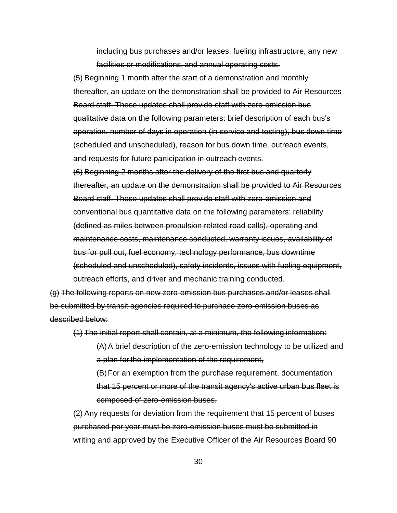including bus purchases and/or leases, fueling infrastructure, any new facilities or modifications, and annual operating costs.

(5) Beginning 1 month after the start of a demonstration and monthly thereafter, an update on the demonstration shall be provided to Air Resources Board staff. These updates shall provide staff with zero-emission bus qualitative data on the following parameters: brief description of each bus's operation, number of days in operation (in-service and testing), bus down time (scheduled and unscheduled), reason for bus down time, outreach events, and requests for future participation in outreach events.

(6) Beginning 2 months after the delivery of the first bus and quarterly thereafter, an update on the demonstration shall be provided to Air Resources Board staff. These updates shall provide staff with zero-emission and conventional bus quantitative data on the following parameters: reliability (defined as miles between propulsion related road calls), operating and maintenance costs, maintenance conducted, warranty issues, availability of bus for pull out, fuel economy, technology performance, bus downtime (scheduled and unscheduled), safety incidents, issues with fueling equipment, outreach efforts, and driver and mechanic training conducted.

(g) The following reports on new zero-emission bus purchases and/or leases shall be submitted by transit agencies required to purchase zero-emission buses as described below:

(1) The initial report shall contain, at a minimum, the following information:

(A)A brief description of the zero-emission technology to be utilized and a plan for the implementation of the requirement,

(B)For an exemption from the purchase requirement, documentation that 15 percent or more of the transit agency's active urban bus fleet is composed of zero-emission buses.

(2) Any requests for deviation from the requirement that 15 percent of buses purchased per year must be zero-emission buses must be submitted in writing and approved by the Executive Officer of the Air Resources Board 90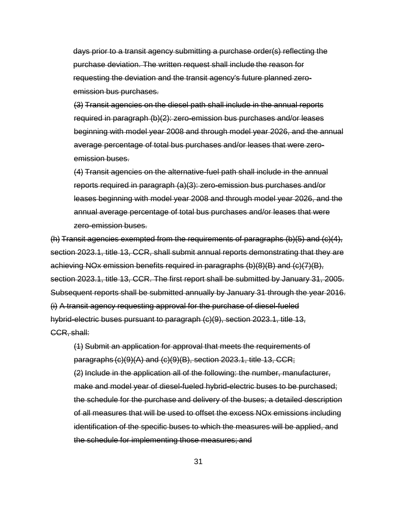days prior to a transit agency submitting a purchase order(s) reflecting the purchase deviation. The written request shall include the reason for requesting the deviation and the transit agency's future planned zeroemission bus purchases.

(3) Transit agencies on the diesel path shall include in the annual reports required in paragraph (b)(2): zero-emission bus purchases and/or leases beginning with model year 2008 and through model year 2026, and the annual average percentage of total bus purchases and/or leases that were zeroemission buses.

(4) Transit agencies on the alternative-fuel path shall include in the annual reports required in paragraph (a)(3): zero-emission bus purchases and/or leases beginning with model year 2008 and through model year 2026, and the annual average percentage of total bus purchases and/or leases that were zero-emission buses.

(h) Transit agencies exempted from the requirements of paragraphs (b)(5) and (c)(4), section 2023.1, title 13, CCR, shall submit annual reports demonstrating that they are achieving NOx emission benefits required in paragraphs (b)(8)(B) and (c)(7)(B), section 2023.1, title 13, CCR. The first report shall be submitted by January 31, 2005. Subsequent reports shall be submitted annually by January 31 through the year 2016. (i) A transit agency requesting approval for the purchase of diesel-fueled hybrid-electric buses pursuant to paragraph (c)(9), section 2023.1, title 13, CCR, shall:

(1) Submit an application for approval that meets the requirements of paragraphs (c)(9)(A) and (c)(9)(B), section 2023.1, title 13, CCR; (2) Include in the application all of the following: the number, manufacturer, make and model year of diesel-fueled hybrid-electric buses to be purchased; the schedule for the purchase and delivery of the buses; a detailed description of all measures that will be used to offset the excess NOx emissions including identification of the specific buses to which the measures will be applied, and the schedule for implementing those measures; and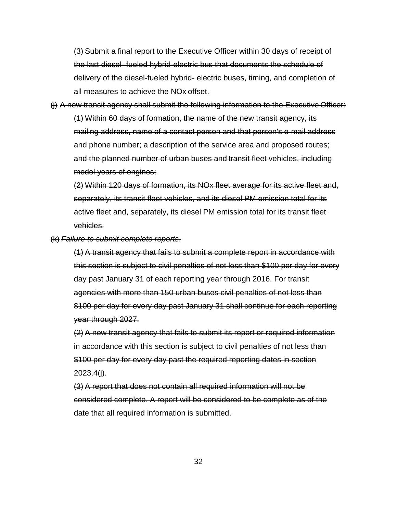(3) Submit a final report to the Executive Officer within 30 days of receipt of the last diesel- fueled hybrid-electric bus that documents the schedule of delivery of the diesel-fueled hybrid- electric buses, timing, and completion of all measures to achieve the NOx offset.

(j) A new transit agency shall submit the following information to the Executive Officer: (1) Within 60 days of formation, the name of the new transit agency, its mailing address, name of a contact person and that person's e-mail address and phone number; a description of the service area and proposed routes; and the planned number of urban buses and transit fleet vehicles, including model years of engines;

(2) Within 120 days of formation, its NOx fleet average for its active fleet and, separately, its transit fleet vehicles, and its diesel PM emission total for its active fleet and, separately, its diesel PM emission total for its transit fleet vehicles.

(k) *Failure to submit complete reports*.

(1) A transit agency that fails to submit a complete report in accordance with this section is subject to civil penalties of not less than \$100 per day for every day past January 31 of each reporting year through 2016. For transit agencies with more than 150 urban buses civil penalties of not less than \$100 per day for every day past January 31 shall continue for each reporting year through 2027.

(2) A new transit agency that fails to submit its report or required information in accordance with this section is subject to civil penalties of not less than \$100 per day for every day past the required reporting dates in section  $2023.4(i)$ .

(3) A report that does not contain all required information will not be considered complete. A report will be considered to be complete as of the date that all required information is submitted.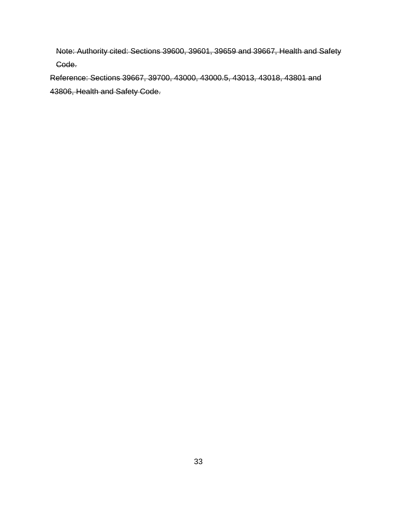Note: Authority cited: Sections 39600, 39601, 39659 and 39667, Health and Safety Code.

Reference: Sections 39667, 39700, 43000, 43000.5, 43013, 43018, 43801 and 43806, Health and Safety Code.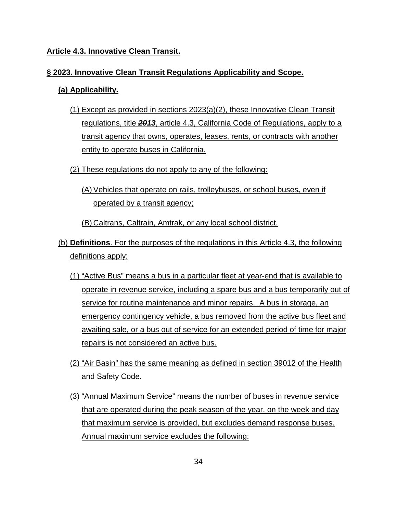## **Article 4.3. Innovative Clean Transit.**

## **§ 2023. Innovative Clean Transit Regulations Applicability and Scope.**

# **(a) Applicability.**

- (1) Except as provided in sections 2023(a)(2), these Innovative Clean Transit regulations, title *2013*, article 4.3, California Code of Regulations, apply to a transit agency that owns, operates, leases, rents, or contracts with another entity to operate buses in California.
- (2) These regulations do not apply to any of the following:
	- (A) Vehicles that operate on rails, trolleybuses, or school buses*,* even if operated by a transit agency;

(B) Caltrans, Caltrain, Amtrak, or any local school district.

- (b) **Definitions**. For the purposes of the regulations in this Article 4.3, the following definitions apply:
	- (1) "Active Bus" means a bus in a particular fleet at year-end that is available to operate in revenue service, including a spare bus and a bus temporarily out of service for routine maintenance and minor repairs. A bus in storage, an emergency contingency vehicle, a bus removed from the active bus fleet and awaiting sale, or a bus out of service for an extended period of time for major repairs is not considered an active bus.
	- (2) "Air Basin" has the same meaning as defined in section 39012 of the Health and Safety Code.
	- (3) "Annual Maximum Service" means the number of buses in revenue service that are operated during the peak season of the year, on the week and day that maximum service is provided, but excludes demand response buses. Annual maximum service excludes the following: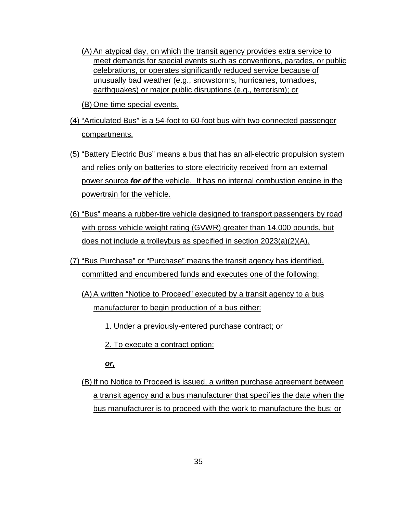(A) An atypical day, on which the transit agency provides extra service to meet demands for special events such as conventions, parades, or public celebrations, or operates significantly reduced service because of unusually bad weather (e.g., snowstorms, hurricanes, tornadoes, earthquakes) or major public disruptions (e.g., terrorism); or

(B) One-time special events.

- (4) "Articulated Bus" is a 54-foot to 60-foot bus with two connected passenger compartments.
- (5) "Battery Electric Bus" means a bus that has an all-electric propulsion system and relies only on batteries to store electricity received from an external power source *for of* the vehicle. It has no internal combustion engine in the powertrain for the vehicle.
- (6) "Bus" means a rubber-tire vehicle designed to transport passengers by road with gross vehicle weight rating (GVWR) greater than 14,000 pounds, but does not include a trolleybus as specified in section 2023(a)(2)(A).
- (7) "Bus Purchase" or "Purchase" means the transit agency has identified, committed and encumbered funds and executes one of the following:
	- (A) A written "Notice to Proceed" executed by a transit agency to a bus manufacturer to begin production of a bus either:
		- 1. Under a previously-entered purchase contract; or
		- 2. To execute a contract option;

*or,* 

(B) If no Notice to Proceed is issued, a written purchase agreement between a transit agency and a bus manufacturer that specifies the date when the bus manufacturer is to proceed with the work to manufacture the bus; or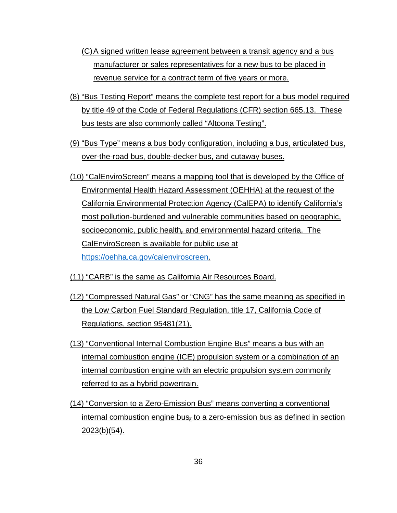- (C)A signed written lease agreement between a transit agency and a bus manufacturer or sales representatives for a new bus to be placed in revenue service for a contract term of five years or more.
- (8) "Bus Testing Report" means the complete test report for a bus model required by title 49 of the Code of Federal Regulations (CFR) section 665.13. These bus tests are also commonly called "Altoona Testing".
- (9) "Bus Type" means a bus body configuration, including a bus, articulated bus, over-the-road bus, double-decker bus, and cutaway buses.
- (10) "CalEnviroScreen" means a mapping tool that is developed by the Office of Environmental Health Hazard Assessment (OEHHA) at the request of the California Environmental Protection Agency (CalEPA) to identify California's most pollution-burdened and vulnerable communities based on geographic, socioeconomic, public health*,* and environmental hazard criteria. The CalEnviroScreen is available for public use at [https://oehha.ca.gov/calenviroscreen.](https://oehha.ca.gov/calenviroscreen)
- (11) "CARB" is the same as California Air Resources Board.
- (12) "Compressed Natural Gas" or "CNG" has the same meaning as specified in the Low Carbon Fuel Standard Regulation, title 17, California Code of Regulations, section 95481(21).
- (13) "Conventional Internal Combustion Engine Bus" means a bus with an internal combustion engine (ICE) propulsion system or a combination of an internal combustion engine with an electric propulsion system commonly referred to as a hybrid powertrain.
- (14) "Conversion to a Zero-Emission Bus" means converting a conventional internal combustion engine bus*,* to a zero-emission bus as defined in section 2023(b)(54).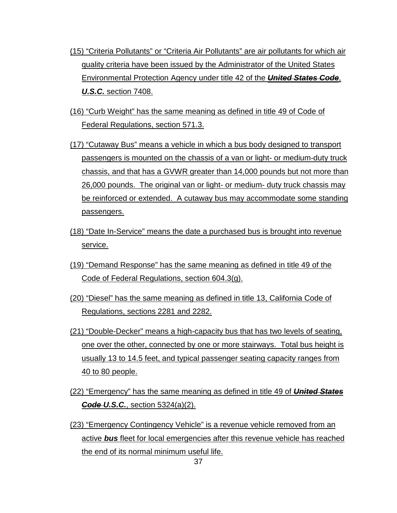- (15) "Criteria Pollutants" or "Criteria Air Pollutants" are air pollutants for which air quality criteria have been issued by the Administrator of the United States Environmental Protection Agency under title 42 of the *United States Code*, *U.S.C.* section 7408.
- (16) "Curb Weight" has the same meaning as defined in title 49 of Code of Federal Regulations, section 571.3.
- (17) "Cutaway Bus" means a vehicle in which a bus body designed to transport passengers is mounted on the chassis of a van or light- or medium-duty truck chassis, and that has a GVWR greater than 14,000 pounds but not more than 26,000 pounds. The original van or light- or medium- duty truck chassis may be reinforced or extended. A cutaway bus may accommodate some standing passengers.
- (18) "Date In-Service" means the date a purchased bus is brought into revenue service.
- (19) "Demand Response" has the same meaning as defined in title 49 of the Code of Federal Regulations, section 604.3(g).
- (20) "Diesel" has the same meaning as defined in title 13, California Code of Regulations, sections 2281 and 2282.
- (21) "Double-Decker" means a high-capacity bus that has two levels of seating, one over the other, connected by one or more stairways. Total bus height is usually 13 to 14.5 feet, and typical passenger seating capacity ranges from 40 to 80 people.
- (22) "Emergency" has the same meaning as defined in title 49 of *United States Code U.S.C.*, section 5324(a)(2).
- (23) "Emergency Contingency Vehicle" is a revenue vehicle removed from an active *bus* fleet for local emergencies after this revenue vehicle has reached the end of its normal minimum useful life.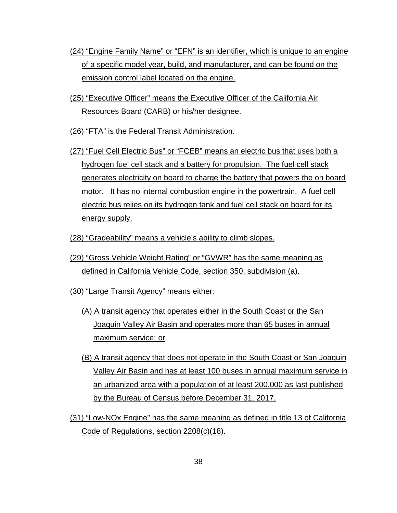- (24) "Engine Family Name" or "EFN" is an identifier, which is unique to an engine of a specific model year, build, and manufacturer, and can be found on the emission control label located on the engine.
- (25) "Executive Officer" means the Executive Officer of the California Air Resources Board (CARB) or his/her designee.
- (26) "FTA" is the Federal Transit Administration.
- (27) "Fuel Cell Electric Bus" or "FCEB" means an electric bus that uses both a hydrogen fuel cell stack and a battery for propulsion. The fuel cell stack generates electricity on board to charge the battery that powers the on board motor. It has no internal combustion engine in the powertrain. A fuel cell electric bus relies on its hydrogen tank and fuel cell stack on board for its energy supply.
- (28) "Gradeability" means a vehicle's ability to climb slopes.
- (29) "Gross Vehicle Weight Rating" or "GVWR" has the same meaning as defined in California Vehicle Code, section 350, subdivision (a).
- (30) "Large Transit Agency" means either:
	- (A) A transit agency that operates either in the South Coast or the San Joaquin Valley Air Basin and operates more than 65 buses in annual maximum service; or
	- (B) A transit agency that does not operate in the South Coast or San Joaquin Valley Air Basin and has at least 100 buses in annual maximum service in an urbanized area with a population of at least 200,000 as last published by the Bureau of Census before December 31, 2017.
- (31) "Low-NOx Engine" has the same meaning as defined in title 13 of California Code of Regulations, section 2208(c)(18).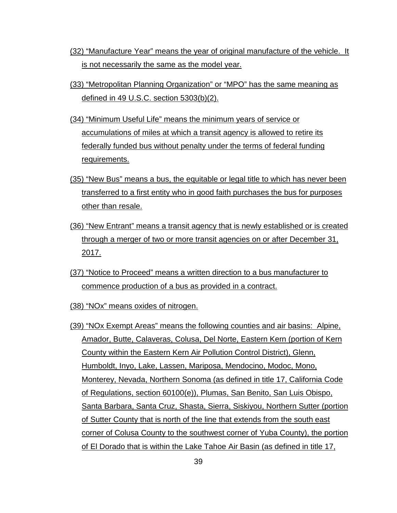- (32) "Manufacture Year" means the year of original manufacture of the vehicle. It is not necessarily the same as the model year.
- (33) "Metropolitan Planning Organization" or "MPO" has the same meaning as defined in 49 U.S.C. section 5303(b)(2).
- (34) "Minimum Useful Life" means the minimum years of service or accumulations of miles at which a transit agency is allowed to retire its federally funded bus without penalty under the terms of federal funding requirements.
- (35) "New Bus" means a bus, the equitable or legal title to which has never been transferred to a first entity who in good faith purchases the bus for purposes other than resale.
- (36) "New Entrant" means a transit agency that is newly established or is created through a merger of two or more transit agencies on or after December 31, <u>2017.</u>
- (37) "Notice to Proceed" means a written direction to a bus manufacturer to commence production of a bus as provided in a contract.
- (38) "NOx" means oxides of nitrogen.
- (39) "NOx Exempt Areas" means the following counties and air basins: Alpine, Amador, Butte, Calaveras, Colusa, Del Norte, Eastern Kern (portion of Kern County within the Eastern Kern Air Pollution Control District), Glenn, Humboldt, Inyo, Lake, Lassen, Mariposa, Mendocino, Modoc, Mono, Monterey, Nevada, Northern Sonoma (as defined in title 17, California Code of Regulations, section 60100(e)), Plumas, San Benito, San Luis Obispo, Santa Barbara, Santa Cruz, Shasta, Sierra, Siskiyou, Northern Sutter (portion of Sutter County that is north of the line that extends from the south east corner of Colusa County to the southwest corner of Yuba County), the portion of El Dorado that is within the Lake Tahoe Air Basin (as defined in title 17,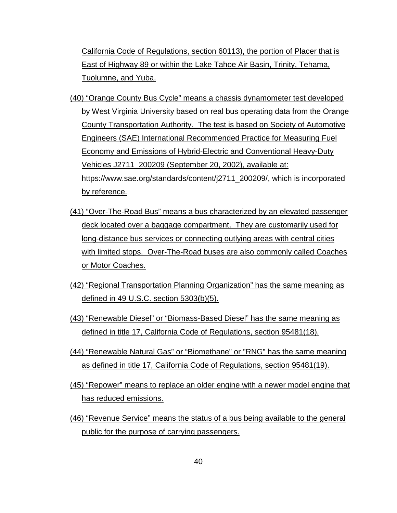California Code of Regulations, section 60113), the portion of Placer that is East of Highway 89 or within the Lake Tahoe Air Basin, Trinity, Tehama, Tuolumne, and Yuba.

- (40) "Orange County Bus Cycle" means a chassis dynamometer test developed by West Virginia University based on real bus operating data from the Orange County Transportation Authority. The test is based on Society of Automotive Engineers (SAE) International Recommended Practice for Measuring Fuel Economy and Emissions of Hybrid-Electric and Conventional Heavy-Duty Vehicles J2711\_200209 (September 20, 2002), available at: [https://www.sae.org/standards/content/j2711\\_200209/,](https://www.sae.org/standards/content/j2711_200209/) which is incorporated by reference.
- (41) "Over-The-Road Bus" means a bus characterized by an elevated passenger deck located over a baggage compartment. They are customarily used for long-distance bus services or connecting outlying areas with central cities with limited stops. Over-The-Road buses are also commonly called Coaches or Motor Coaches.
- (42) "Regional Transportation Planning Organization" has the same meaning as defined in 49 U.S.C. section 5303(b)(5).
- (43) "Renewable Diesel" or "Biomass-Based Diesel" has the same meaning as defined in title 17, California Code of Regulations, section 95481(18).
- (44) "Renewable Natural Gas" or "Biomethane" or "RNG" has the same meaning as defined in title 17, California Code of Regulations, section 95481(19).
- (45) "Repower" means to replace an older engine with a newer model engine that has reduced emissions.
- (46) "Revenue Service" means the status of a bus being available to the general public for the purpose of carrying passengers.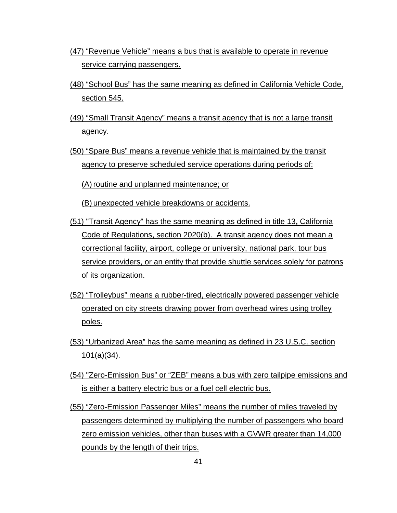- (47) "Revenue Vehicle" means a bus that is available to operate in revenue service carrying passengers.
- (48) "School Bus" has the same meaning as defined in California Vehicle Code, section 545.
- (49) "Small Transit Agency" means a transit agency that is not a large transit agency.
- (50) "Spare Bus" means a revenue vehicle that is maintained by the transit agency to preserve scheduled service operations during periods of:

(A) routine and unplanned maintenance; or

(B) unexpected vehicle breakdowns or accidents.

- (51) "Transit Agency" has the same meaning as defined in title 13**,** California Code of Regulations, section 2020(b). A transit agency does not mean a correctional facility, airport, college or university, national park, tour bus service providers, or an entity that provide shuttle services solely for patrons of its organization.
- (52) "Trolleybus" means a rubber-tired, electrically powered passenger vehicle operated on city streets drawing power from overhead wires using trolley poles.
- (53) "Urbanized Area" has the same meaning as defined in 23 U.S.C. section 101(a)(34).
- (54) "Zero-Emission Bus" or "ZEB" means a bus with zero tailpipe emissions and is either a battery electric bus or a fuel cell electric bus.
- (55) "Zero-Emission Passenger Miles" means the number of miles traveled by passengers determined by multiplying the number of passengers who board zero emission vehicles, other than buses with a GVWR greater than 14,000 pounds by the length of their trips.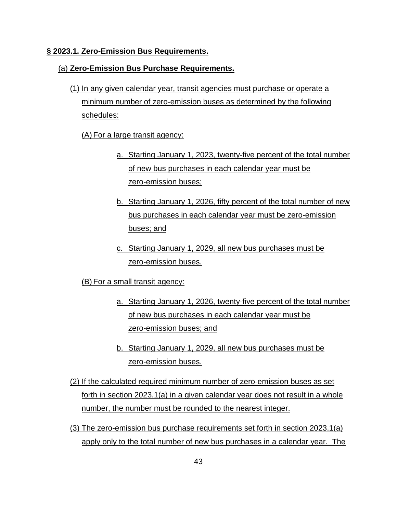#### **§ 2023.1. Zero-Emission Bus Requirements.**

### (a) **Zero-Emission Bus Purchase Requirements.**

(1) In any given calendar year, transit agencies must purchase or operate a minimum number of zero-emission buses as determined by the following schedules:

### (A) For a large transit agency:

- a. Starting January 1, 2023, twenty-five percent of the total number of new bus purchases in each calendar year must be zero-emission buses;
- b. Starting January 1, 2026, fifty percent of the total number of new bus purchases in each calendar year must be zero-emission buses; and
- c. Starting January 1, 2029, all new bus purchases must be zero-emission buses.
- (B) For a small transit agency:
	- a. Starting January 1, 2026, twenty-five percent of the total number of new bus purchases in each calendar year must be zero-emission buses; and
	- b. Starting January 1, 2029, all new bus purchases must be zero-emission buses.
- (2) If the calculated required minimum number of zero-emission buses as set forth in section 2023.1(a) in a given calendar year does not result in a whole number, the number must be rounded to the nearest integer.
- (3) The zero-emission bus purchase requirements set forth in section 2023.1(a) apply only to the total number of new bus purchases in a calendar year. The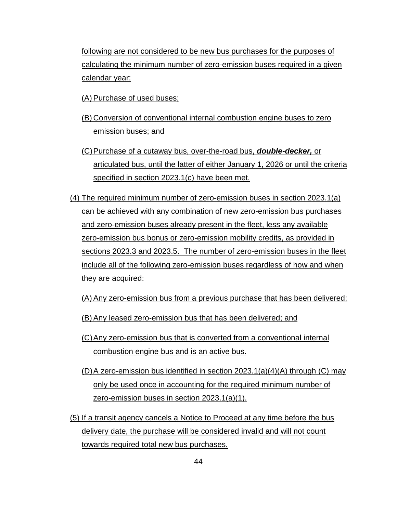following are not considered to be new bus purchases for the purposes of calculating the minimum number of zero-emission buses required in a given calendar year:

(A) Purchase of used buses;

- (B) Conversion of conventional internal combustion engine buses to zero emission buses; and
- (C)Purchase of a cutaway bus, over-the-road bus, *double-decker,* or articulated bus, until the latter of either January 1, 2026 or until the criteria specified in section 2023.1(c) have been met.
- (4) The required minimum number of zero-emission buses in section 2023.1(a) can be achieved with any combination of new zero-emission bus purchases and zero-emission buses already present in the fleet, less any available zero-emission bus bonus or zero-emission mobility credits, as provided in sections 2023.3 and 2023.5. The number of zero-emission buses in the fleet include all of the following zero-emission buses regardless of how and when they are acquired:
	- (A) Any zero-emission bus from a previous purchase that has been delivered;
	- (B) Any leased zero-emission bus that has been delivered; and
	- (C)Any zero-emission bus that is converted from a conventional internal combustion engine bus and is an active bus.
	- (D) A zero-emission bus identified in section  $2023.1(a)(4)(A)$  through (C) may only be used once in accounting for the required minimum number of zero-emission buses in section 2023.1(a)(1).
- (5) If a transit agency cancels a Notice to Proceed at any time before the bus delivery date, the purchase will be considered invalid and will not count towards required total new bus purchases.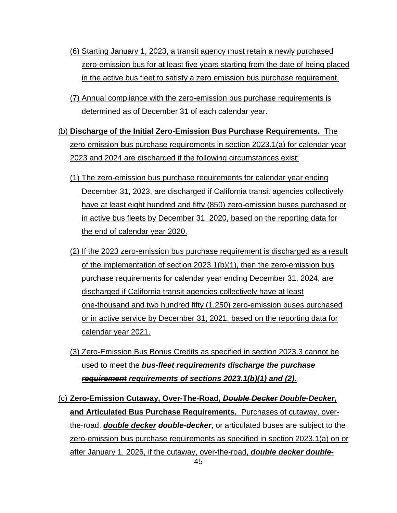- (6) Starting January 1, 2023, a transit agency must retain a newly purchased zero-emission bus for at least five years starting from the date of being placed in the active bus fleet to satisfy a zero emission bus purchase requirement.
- (7) Annual compliance with the zero-emission bus purchase requirements is determined as of December 31 of each calendar year.
- (b) **Discharge of the Initial Zero-Emission Bus Purchase Requirements.** The zero-emission bus purchase requirements in section 2023.1(a) for calendar year 2023 and 2024 are discharged if the following circumstances exist:
	- (1) The zero-emission bus purchase requirements for calendar year ending December 31, 2023, are discharged if California transit agencies collectively have at least eight hundred and fifty (850) zero-emission buses purchased or in active bus fleets by December 31, 2020, based on the reporting data for the end of calendar year 2020.
	- (2) If the 2023 zero-emission bus purchase requirement is discharged as a result of the implementation of section 2023.1(b)(1), then the zero-emission bus purchase requirements for calendar year ending December 31, 2024, are discharged if California transit agencies collectively have at least one-thousand and two hundred fifty (1,250) zero-emission buses purchased or in active service by December 31, 2021, based on the reporting data for calendar year 2021.
	- (3) Zero-Emission Bus Bonus Credits as specified in section 2023.3 cannot be used to meet the *bus-fleet requirements discharge the purchase requirement requirements of sections 2023.1(b)(1) and (2)*.
- (c) **Zero-Emission Cutaway, Over-The-Road,** *Double Decker Double-Decker***, and Articulated Bus Purchase Requirements.** Purchases of cutaway, overthe-road, *double decker double-decker*, or articulated buses are subject to the zero-emission bus purchase requirements as specified in section 2023.1(a) on or after January 1, 2026, if the cutaway, over-the-road, *double decker double-*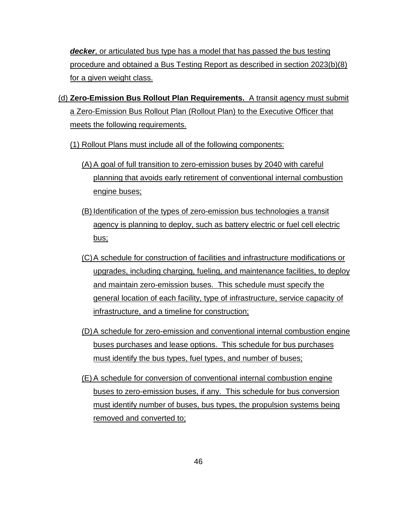*decker*, or articulated bus type has a model that has passed the bus testing procedure and obtained a Bus Testing Report as described in section 2023(b)(8) for a given weight class.

(d) **Zero-Emission Bus Rollout Plan Requirements.** A transit agency must submit a Zero-Emission Bus Rollout Plan (Rollout Plan) to the Executive Officer that meets the following requirements.

(1) Rollout Plans must include all of the following components:

- (A) A goal of full transition to zero-emission buses by 2040 with careful planning that avoids early retirement of conventional internal combustion engine buses;
- (B) Identification of the types of zero-emission bus technologies a transit agency is planning to deploy, such as battery electric or fuel cell electric bus;
- (C)A schedule for construction of facilities and infrastructure modifications or upgrades, including charging, fueling, and maintenance facilities, to deploy and maintain zero-emission buses. This schedule must specify the general location of each facility, type of infrastructure, service capacity of infrastructure, and a timeline for construction;
- (D)A schedule for zero-emission and conventional internal combustion engine buses purchases and lease options. This schedule for bus purchases must identify the bus types, fuel types, and number of buses;
- (E) A schedule for conversion of conventional internal combustion engine buses to zero-emission buses, if any. This schedule for bus conversion must identify number of buses, bus types, the propulsion systems being removed and converted to;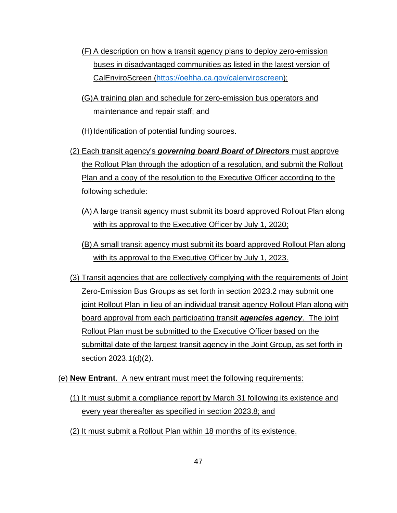- (F) A description on how a transit agency plans to deploy zero-emission buses in disadvantaged communities as listed in the latest version of CalEnviroScreen [\(https://oehha.ca.gov/calenviroscreen\)](https://oehha.ca.gov/calenviroscreen);
- (G)A training plan and schedule for zero-emission bus operators and maintenance and repair staff; and

(H) Identification of potential funding sources.

- (2) Each transit agency's *governing board Board of Directors* must approve the Rollout Plan through the adoption of a resolution, and submit the Rollout Plan and a copy of the resolution to the Executive Officer according to the following schedule:
	- (A) A large transit agency must submit its board approved Rollout Plan along with its approval to the Executive Officer by July 1, 2020;
	- (B) A small transit agency must submit its board approved Rollout Plan along with its approval to the Executive Officer by July 1, 2023.
- (3) Transit agencies that are collectively complying with the requirements of Joint Zero-Emission Bus Groups as set forth in section 2023.2 may submit one joint Rollout Plan in lieu of an individual transit agency Rollout Plan along with board approval from each participating transit *agencies agency*. The joint Rollout Plan must be submitted to the Executive Officer based on the submittal date of the largest transit agency in the Joint Group, as set forth in section 2023.1(d)(2).
- (e) **New Entrant**. A new entrant must meet the following requirements:
	- (1) It must submit a compliance report by March 31 following its existence and every year thereafter as specified in section 2023.8; and
	- (2) It must submit a Rollout Plan within 18 months of its existence.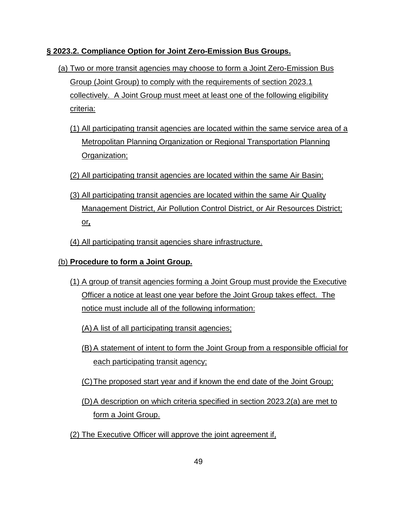## **§ 2023.2. Compliance Option for Joint Zero-Emission Bus Groups.**

- (a) Two or more transit agencies may choose to form a Joint Zero-Emission Bus Group (Joint Group) to comply with the requirements of section 2023.1 collectively. A Joint Group must meet at least one of the following eligibility criteria:
	- (1) All participating transit agencies are located within the same service area of a Metropolitan Planning Organization or Regional Transportation Planning Organization;
	- (2) All participating transit agencies are located within the same Air Basin;
	- (3) All participating transit agencies are located within the same Air Quality Management District, Air Pollution Control District, or Air Resources District; or*,*
	- (4) All participating transit agencies share infrastructure.

# (b) **Procedure to form a Joint Group.**

- (1) A group of transit agencies forming a Joint Group must provide the Executive Officer a notice at least one year before the Joint Group takes effect. The notice must include all of the following information:
	- (A) A list of all participating transit agencies;
	- (B) A statement of intent to form the Joint Group from a responsible official for each participating transit agency;
	- (C)The proposed start year and if known the end date of the Joint Group;
	- (D)A description on which criteria specified in section 2023.2(a) are met to form a Joint Group.
- (2) The Executive Officer will approve the joint agreement if,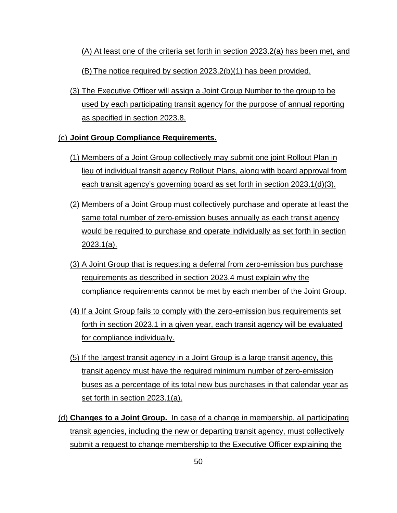(A) At least one of the criteria set forth in section 2023.2(a) has been met, and (B) The notice required by section 2023.2(b)(1) has been provided.

(3) The Executive Officer will assign a Joint Group Number to the group to be used by each participating transit agency for the purpose of annual reporting as specified in section 2023.8.

### (c) **Joint Group Compliance Requirements.**

- (1) Members of a Joint Group collectively may submit one joint Rollout Plan in lieu of individual transit agency Rollout Plans, along with board approval from each transit agency's governing board as set forth in section 2023.1(d)(3).
- (2) Members of a Joint Group must collectively purchase and operate at least the same total number of zero-emission buses annually as each transit agency would be required to purchase and operate individually as set forth in section 2023.1(a).
- (3) A Joint Group that is requesting a deferral from zero-emission bus purchase requirements as described in section 2023.4 must explain why the compliance requirements cannot be met by each member of the Joint Group.
- (4) If a Joint Group fails to comply with the zero-emission bus requirements set forth in section 2023.1 in a given year, each transit agency will be evaluated for compliance individually.
- (5) If the largest transit agency in a Joint Group is a large transit agency, this transit agency must have the required minimum number of zero-emission buses as a percentage of its total new bus purchases in that calendar year as set forth in section 2023.1(a).
- (d) **Changes to a Joint Group.** In case of a change in membership, all participating transit agencies, including the new or departing transit agency, must collectively submit a request to change membership to the Executive Officer explaining the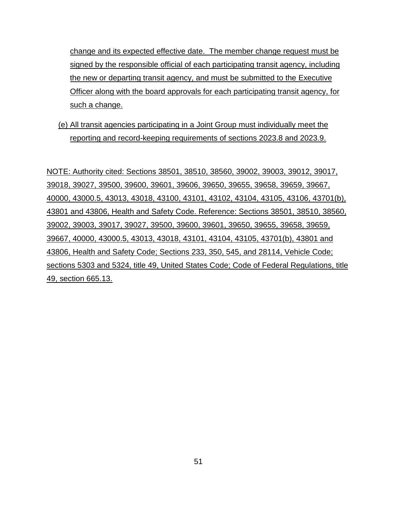change and its expected effective date. The member change request must be signed by the responsible official of each participating transit agency, including the new or departing transit agency, and must be submitted to the Executive Officer along with the board approvals for each participating transit agency, for such a change.

(e) All transit agencies participating in a Joint Group must individually meet the reporting and record-keeping requirements of sections 2023.8 and 2023.9.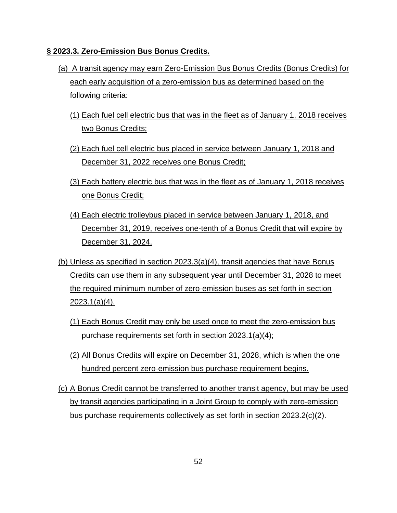### **§ 2023.3. Zero-Emission Bus Bonus Credits.**

- (a) A transit agency may earn Zero-Emission Bus Bonus Credits (Bonus Credits) for each early acquisition of a zero-emission bus as determined based on the following criteria:
	- (1) Each fuel cell electric bus that was in the fleet as of January 1, 2018 receives two Bonus Credits;
	- (2) Each fuel cell electric bus placed in service between January 1, 2018 and December 31, 2022 receives one Bonus Credit;
	- (3) Each battery electric bus that was in the fleet as of January 1, 2018 receives one Bonus Credit;
	- (4) Each electric trolleybus placed in service between January 1, 2018, and December 31, 2019, receives one-tenth of a Bonus Credit that will expire by December 31, 2024.
- (b) Unless as specified in section 2023.3(a)(4), transit agencies that have Bonus Credits can use them in any subsequent year until December 31, 2028 to meet the required minimum number of zero-emission buses as set forth in section 2023.1(a)(4).
	- (1) Each Bonus Credit may only be used once to meet the zero-emission bus purchase requirements set forth in section 2023.1(a)(4);
	- (2) All Bonus Credits will expire on December 31, 2028, which is when the one hundred percent zero-emission bus purchase requirement begins.
- (c) A Bonus Credit cannot be transferred to another transit agency, but may be used by transit agencies participating in a Joint Group to comply with zero-emission bus purchase requirements collectively as set forth in section 2023.2(c)(2).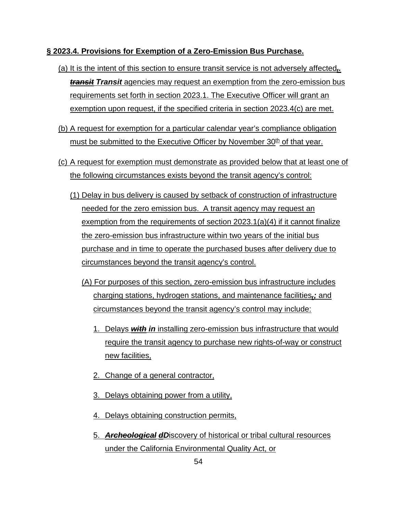### **§ 2023.4. Provisions for Exemption of a Zero-Emission Bus Purchase.**

- (a) It is the intent of this section to ensure transit service is not adversely affected*,. transit Transit* agencies may request an exemption from the zero-emission bus requirements set forth in section 2023.1. The Executive Officer will grant an exemption upon request, if the specified criteria in section 2023.4(c) are met.
- (b) A request for exemption for a particular calendar year's compliance obligation must be submitted to the Executive Officer by November  $30<sup>th</sup>$  of that year.
- (c) A request for exemption must demonstrate as provided below that at least one of the following circumstances exists beyond the transit agency's control:
	- (1) Delay in bus delivery is caused by setback of construction of infrastructure needed for the zero emission bus. A transit agency may request an exemption from the requirements of section 2023.1(a)(4) if it cannot finalize the zero-emission bus infrastructure within two years of the initial bus purchase and in time to operate the purchased buses after delivery due to circumstances beyond the transit agency's control.
		- (A) For purposes of this section, zero-emission bus infrastructure includes charging stations, hydrogen stations, and maintenance facilities*,;* and circumstances beyond the transit agency's control may include:
			- 1. Delays *with in* installing zero-emission bus infrastructure that would require the transit agency to purchase new rights-of-way or construct new facilities,
			- 2. Change of a general contractor,
			- 3. Delays obtaining power from a utility,
			- 4. Delays obtaining construction permits,
			- 5. *Archeological dD*iscovery of historical or tribal cultural resources under the California Environmental Quality Act, or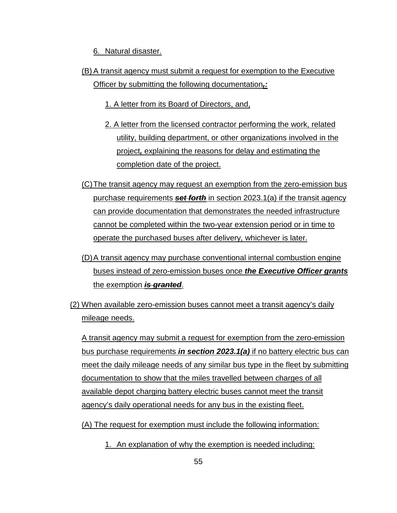6. Natural disaster.

(B) A transit agency must submit a request for exemption to the Executive Officer by submitting the following documentation*,:*

1. A letter from its Board of Directors, and,

- 2. A letter from the licensed contractor performing the work, related utility, building department, or other organizations involved in the project*,* explaining the reasons for delay and estimating the completion date of the project.
- (C)The transit agency may request an exemption from the zero-emission bus purchase requirements *set forth* in section 2023.1(a) if the transit agency can provide documentation that demonstrates the needed infrastructure cannot be completed within the two-year extension period or in time to operate the purchased buses after delivery, whichever is later.
- (D)A transit agency may purchase conventional internal combustion engine buses instead of zero-emission buses once *the Executive Officer grants* the exemption *is granted*.
- (2) When available zero-emission buses cannot meet a transit agency's daily mileage needs.

A transit agency may submit a request for exemption from the zero-emission bus purchase requirements *in section 2023.1(a)* if no battery electric bus can meet the daily mileage needs of any similar bus type in the fleet by submitting documentation to show that the miles travelled between charges of all available depot charging battery electric buses cannot meet the transit agency's daily operational needs for any bus in the existing fleet.

(A) The request for exemption must include the following information:

1. An explanation of why the exemption is needed including: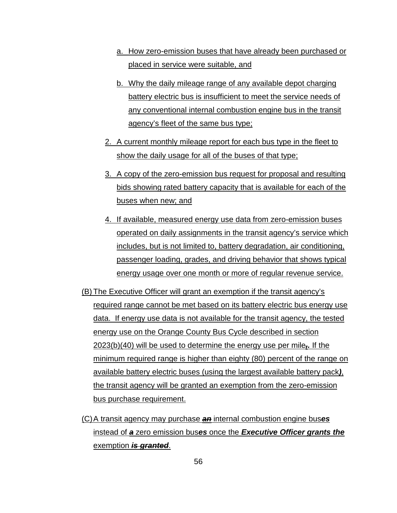- a. How zero-emission buses that have already been purchased or placed in service were suitable, and
- b. Why the daily mileage range of any available depot charging battery electric bus is insufficient to meet the service needs of any conventional internal combustion engine bus in the transit agency's fleet of the same bus type;
- 2. A current monthly mileage report for each bus type in the fleet to show the daily usage for all of the buses of that type;
- 3. A copy of the zero-emission bus request for proposal and resulting bids showing rated battery capacity that is available for each of the buses when new; and
- 4. If available, measured energy use data from zero-emission buses operated on daily assignments in the transit agency's service which includes, but is not limited to, battery degradation, air conditioning, passenger loading, grades, and driving behavior that shows typical energy usage over one month or more of regular revenue service.
- (B) The Executive Officer will grant an exemption if the transit agency's required range cannot be met based on its battery electric bus energy use data. If energy use data is not available for the transit agency, the tested energy use on the Orange County Bus Cycle described in section 2023(b)(40) will be used to determine the energy use per mile*,.* If the minimum required range is higher than eighty (80) percent of the range on available battery electric buses (using the largest available battery pack*)*, the transit agency will be granted an exemption from the zero-emission bus purchase requirement.
- (C) A transit agency may purchase *an* internal combustion engine bus*es* instead of *a* zero emission bus*es* once the *Executive Officer grants the* exemption *is granted*.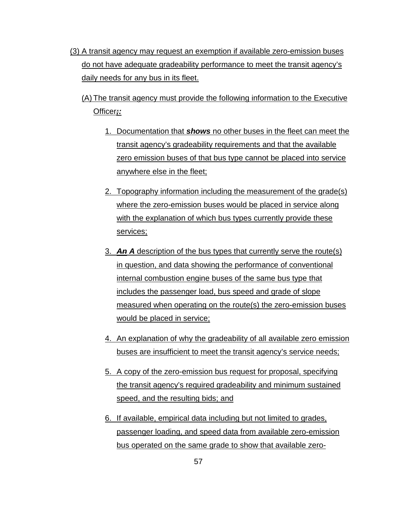- (3) A transit agency may request an exemption if available zero-emission buses do not have adequate gradeability performance to meet the transit agency's daily needs for any bus in its fleet.
	- (A) The transit agency must provide the following information to the Executive Officer*;:*
		- 1. Documentation that *shows* no other buses in the fleet can meet the transit agency's gradeability requirements and that the available zero emission buses of that bus type cannot be placed into service anywhere else in the fleet;
		- 2. Topography information including the measurement of the grade(s) where the zero-emission buses would be placed in service along with the explanation of which bus types currently provide these services;
		- 3. *An A* description of the bus types that currently serve the route(s) in question, and data showing the performance of conventional internal combustion engine buses of the same bus type that includes the passenger load, bus speed and grade of slope measured when operating on the route(s) the zero-emission buses would be placed in service;
		- 4. An explanation of why the gradeability of all available zero emission buses are insufficient to meet the transit agency's service needs;
		- 5. A copy of the zero-emission bus request for proposal, specifying the transit agency's required gradeability and minimum sustained speed, and the resulting bids; and
		- 6. If available, empirical data including but not limited to grades, passenger loading, and speed data from available zero-emission bus operated on the same grade to show that available zero-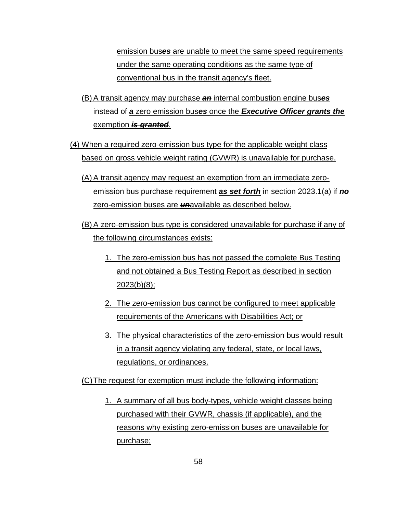emission bus*es* are unable to meet the same speed requirements under the same operating conditions as the same type of conventional bus in the transit agency's fleet.

- (B) A transit agency may purchase *an* internal combustion engine bus*es* instead of *a* zero emission bus*es* once the *Executive Officer grants the* exemption *is granted*.
- (4) When a required zero-emission bus type for the applicable weight class based on gross vehicle weight rating (GVWR) is unavailable for purchase.
	- (A) A transit agency may request an exemption from an immediate zeroemission bus purchase requirement *as set forth* in section 2023.1(a) if *no* zero-emission buses are *un*available as described below.
	- (B) A zero-emission bus type is considered unavailable for purchase if any of the following circumstances exists:
		- 1. The zero-emission bus has not passed the complete Bus Testing and not obtained a Bus Testing Report as described in section 2023(b)(8);
		- 2. The zero-emission bus cannot be configured to meet applicable requirements of the Americans with Disabilities Act; or
		- 3. The physical characteristics of the zero-emission bus would result in a transit agency violating any federal, state, or local laws, regulations, or ordinances.

(C)The request for exemption must include the following information:

1. A summary of all bus body-types, vehicle weight classes being purchased with their GVWR, chassis (if applicable), and the reasons why existing zero-emission buses are unavailable for purchase;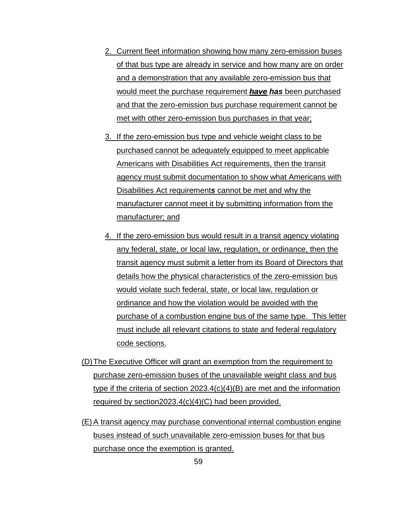- 2. Current fleet information showing how many zero-emission buses of that bus type are already in service and how many are on order and a demonstration that any available zero-emission bus that would meet the purchase requirement *have has* been purchased and that the zero-emission bus purchase requirement cannot be met with other zero-emission bus purchases in that year;
- 3. If the zero-emission bus type and vehicle weight class to be purchased cannot be adequately equipped to meet applicable Americans with Disabilities Act requirements, then the transit agency must submit documentation to show what Americans with Disabilities Act requirement*s* cannot be met and why the manufacturer cannot meet it by submitting information from the manufacturer; and
- 4. If the zero-emission bus would result in a transit agency violating any federal, state, or local law, regulation, or ordinance, then the transit agency must submit a letter from its Board of Directors that details how the physical characteristics of the zero-emission bus would violate such federal, state, or local law, regulation or ordinance and how the violation would be avoided with the purchase of a combustion engine bus of the same type. This letter must include all relevant citations to state and federal regulatory code sections.
- (D)The Executive Officer will grant an exemption from the requirement to purchase zero-emission buses of the unavailable weight class and bus type if the criteria of section 2023.4(c)(4)(B) are met and the information required by section2023.4(c)(4)(C) had been provided.
- (E) A transit agency may purchase conventional internal combustion engine buses instead of such unavailable zero-emission buses for that bus purchase once the exemption is granted.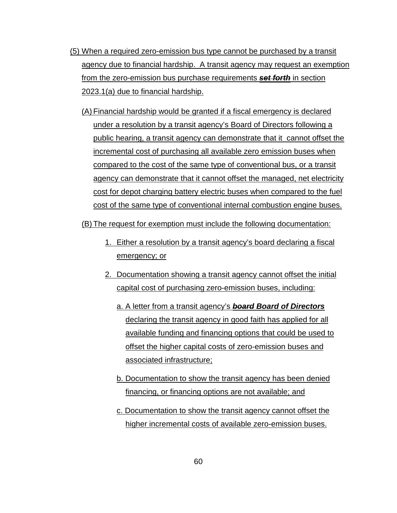- (5) When a required zero-emission bus type cannot be purchased by a transit agency due to financial hardship. A transit agency may request an exemption from the zero-emission bus purchase requirements *set forth* in section 2023.1(a) due to financial hardship.
	- (A) Financial hardship would be granted if a fiscal emergency is declared under a resolution by a transit agency's Board of Directors following a public hearing, a transit agency can demonstrate that it cannot offset the incremental cost of purchasing all available zero emission buses when compared to the cost of the same type of conventional bus, or a transit agency can demonstrate that it cannot offset the managed, net electricity cost for depot charging battery electric buses when compared to the fuel cost of the same type of conventional internal combustion engine buses.
	- (B) The request for exemption must include the following documentation:
		- 1. Either a resolution by a transit agency's board declaring a fiscal emergency; or
		- 2. Documentation showing a transit agency cannot offset the initial capital cost of purchasing zero-emission buses, including:
			- a. A letter from a transit agency's *board Board of Directors* declaring the transit agency in good faith has applied for all available funding and financing options that could be used to offset the higher capital costs of zero-emission buses and associated infrastructure;
			- b. Documentation to show the transit agency has been denied financing, or financing options are not available; and
			- c. Documentation to show the transit agency cannot offset the higher incremental costs of available zero-emission buses.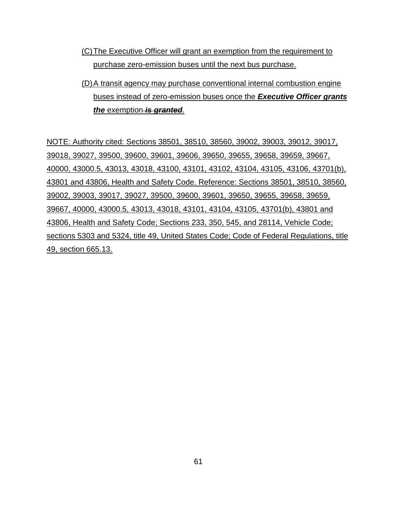- (C)The Executive Officer will grant an exemption from the requirement to purchase zero-emission buses until the next bus purchase.
- (D)A transit agency may purchase conventional internal combustion engine buses instead of zero-emission buses once the *Executive Officer grants the* exemption *is granted*.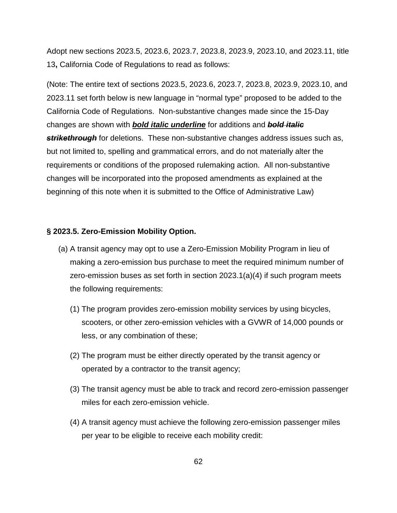Adopt new sections 2023.5, 2023.6, 2023.7, 2023.8, 2023.9, 2023.10, and 2023.11, title 13**,** California Code of Regulations to read as follows:

(Note: The entire text of sections 2023.5, 2023.6, 2023.7, 2023.8, 2023.9, 2023.10, and 2023.11 set forth below is new language in "normal type" proposed to be added to the California Code of Regulations. Non-substantive changes made since the 15-Day changes are shown with *bold italic underline* for additions and *bold italic*  **strikethrough** for deletions. These non-substantive changes address issues such as, but not limited to, spelling and grammatical errors, and do not materially alter the requirements or conditions of the proposed rulemaking action. All non-substantive changes will be incorporated into the proposed amendments as explained at the beginning of this note when it is submitted to the Office of Administrative Law)

#### **§ 2023.5. Zero-Emission Mobility Option.**

- (a) A transit agency may opt to use a Zero-Emission Mobility Program in lieu of making a zero-emission bus purchase to meet the required minimum number of zero-emission buses as set forth in section 2023.1(a)(4) if such program meets the following requirements:
	- (1) The program provides zero-emission mobility services by using bicycles, scooters, or other zero-emission vehicles with a GVWR of 14,000 pounds or less, or any combination of these;
	- (2) The program must be either directly operated by the transit agency or operated by a contractor to the transit agency;
	- (3) The transit agency must be able to track and record zero-emission passenger miles for each zero-emission vehicle.
	- (4) A transit agency must achieve the following zero-emission passenger miles per year to be eligible to receive each mobility credit: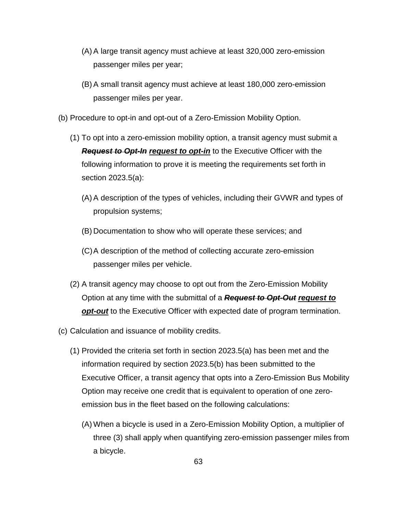- (A) A large transit agency must achieve at least 320,000 zero-emission passenger miles per year;
- (B) A small transit agency must achieve at least 180,000 zero-emission passenger miles per year.
- (b) Procedure to opt-in and opt-out of a Zero-Emission Mobility Option.
	- (1) To opt into a zero-emission mobility option, a transit agency must submit a *Request to Opt-In request to opt-in* to the Executive Officer with the following information to prove it is meeting the requirements set forth in section 2023.5(a):
		- (A) A description of the types of vehicles, including their GVWR and types of propulsion systems;
		- (B) Documentation to show who will operate these services; and
		- (C)A description of the method of collecting accurate zero-emission passenger miles per vehicle.
	- (2) A transit agency may choose to opt out from the Zero-Emission Mobility Option at any time with the submittal of a *Request to Opt-Out request to opt-out* to the Executive Officer with expected date of program termination.
- (c) Calculation and issuance of mobility credits.
	- (1) Provided the criteria set forth in section 2023.5(a) has been met and the information required by section 2023.5(b) has been submitted to the Executive Officer, a transit agency that opts into a Zero-Emission Bus Mobility Option may receive one credit that is equivalent to operation of one zeroemission bus in the fleet based on the following calculations:
		- (A) When a bicycle is used in a Zero-Emission Mobility Option, a multiplier of three (3) shall apply when quantifying zero-emission passenger miles from a bicycle.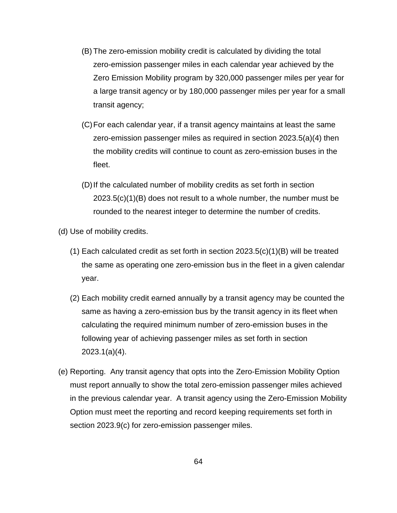- (B) The zero-emission mobility credit is calculated by dividing the total zero-emission passenger miles in each calendar year achieved by the Zero Emission Mobility program by 320,000 passenger miles per year for a large transit agency or by 180,000 passenger miles per year for a small transit agency;
- (C)For each calendar year, if a transit agency maintains at least the same zero-emission passenger miles as required in section 2023.5(a)(4) then the mobility credits will continue to count as zero-emission buses in the fleet.
- (D)If the calculated number of mobility credits as set forth in section 2023.5(c)(1)(B) does not result to a whole number, the number must be rounded to the nearest integer to determine the number of credits.
- (d) Use of mobility credits.
	- (1) Each calculated credit as set forth in section  $2023.5(c)(1)(B)$  will be treated the same as operating one zero-emission bus in the fleet in a given calendar year.
	- (2) Each mobility credit earned annually by a transit agency may be counted the same as having a zero-emission bus by the transit agency in its fleet when calculating the required minimum number of zero-emission buses in the following year of achieving passenger miles as set forth in section 2023.1(a)(4).
- (e) Reporting. Any transit agency that opts into the Zero-Emission Mobility Option must report annually to show the total zero-emission passenger miles achieved in the previous calendar year. A transit agency using the Zero-Emission Mobility Option must meet the reporting and record keeping requirements set forth in section 2023.9(c) for zero-emission passenger miles.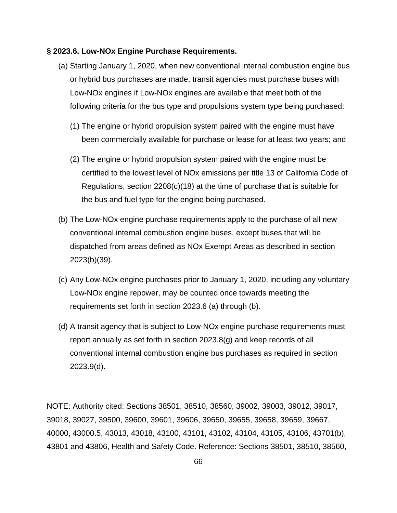#### **§ 2023.6. Low-NOx Engine Purchase Requirements.**

- (a) Starting January 1, 2020, when new conventional internal combustion engine bus or hybrid bus purchases are made, transit agencies must purchase buses with Low-NOx engines if Low-NOx engines are available that meet both of the following criteria for the bus type and propulsions system type being purchased:
	- (1) The engine or hybrid propulsion system paired with the engine must have been commercially available for purchase or lease for at least two years; and
	- (2) The engine or hybrid propulsion system paired with the engine must be certified to the lowest level of NOx emissions per title 13 of California Code of Regulations, section 2208(c)(18) at the time of purchase that is suitable for the bus and fuel type for the engine being purchased.
- (b) The Low-NOx engine purchase requirements apply to the purchase of all new conventional internal combustion engine buses, except buses that will be dispatched from areas defined as NOx Exempt Areas as described in section 2023(b)(39).
- (c) Any Low-NOx engine purchases prior to January 1, 2020, including any voluntary Low-NOx engine repower, may be counted once towards meeting the requirements set forth in section 2023.6 (a) through (b).
- (d) A transit agency that is subject to Low-NOx engine purchase requirements must report annually as set forth in section 2023.8(g) and keep records of all conventional internal combustion engine bus purchases as required in section 2023.9(d).

NOTE: Authority cited: Sections 38501, 38510, 38560, 39002, 39003, 39012, 39017, 39018, 39027, 39500, 39600, 39601, 39606, 39650, 39655, 39658, 39659, 39667, 40000, 43000.5, 43013, 43018, 43100, 43101, 43102, 43104, 43105, 43106, 43701(b), 43801 and 43806, Health and Safety Code. Reference: Sections 38501, 38510, 38560,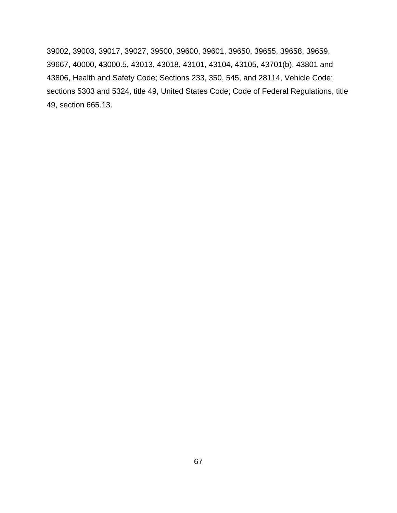39002, 39003, 39017, 39027, 39500, 39600, 39601, 39650, 39655, 39658, 39659, 39667, 40000, 43000.5, 43013, 43018, 43101, 43104, 43105, 43701(b), 43801 and 43806, Health and Safety Code; Sections 233, 350, 545, and 28114, Vehicle Code; sections 5303 and 5324, title 49, United States Code; Code of Federal Regulations, title 49, section 665.13.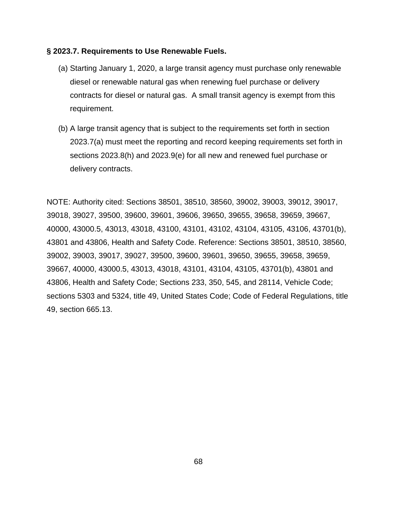#### **§ 2023.7. Requirements to Use Renewable Fuels.**

- (a) Starting January 1, 2020, a large transit agency must purchase only renewable diesel or renewable natural gas when renewing fuel purchase or delivery contracts for diesel or natural gas. A small transit agency is exempt from this requirement.
- (b) A large transit agency that is subject to the requirements set forth in section 2023.7(a) must meet the reporting and record keeping requirements set forth in sections 2023.8(h) and 2023.9(e) for all new and renewed fuel purchase or delivery contracts.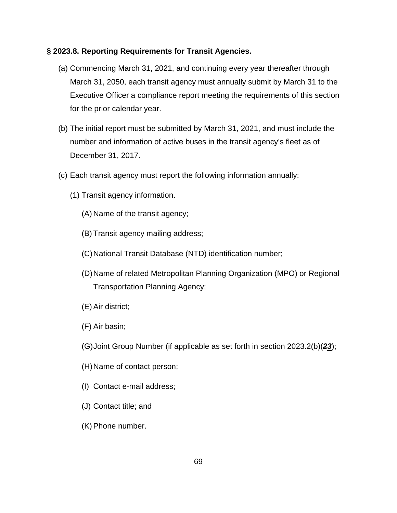## **§ 2023.8. Reporting Requirements for Transit Agencies.**

- (a) Commencing March 31, 2021, and continuing every year thereafter through March 31, 2050, each transit agency must annually submit by March 31 to the Executive Officer a compliance report meeting the requirements of this section for the prior calendar year.
- (b) The initial report must be submitted by March 31, 2021, and must include the number and information of active buses in the transit agency's fleet as of December 31, 2017.
- (c) Each transit agency must report the following information annually:
	- (1) Transit agency information.
		- (A) Name of the transit agency;
		- (B) Transit agency mailing address;
		- (C) National Transit Database (NTD) identification number;
		- (D)Name of related Metropolitan Planning Organization (MPO) or Regional Transportation Planning Agency;
		- (E) Air district;
		- (F) Air basin;
		- (G) Joint Group Number (if applicable as set forth in section 2023.2(b)(*23*);
		- (H) Name of contact person;
		- (I) Contact e-mail address;
		- (J) Contact title; and
		- (K) Phone number.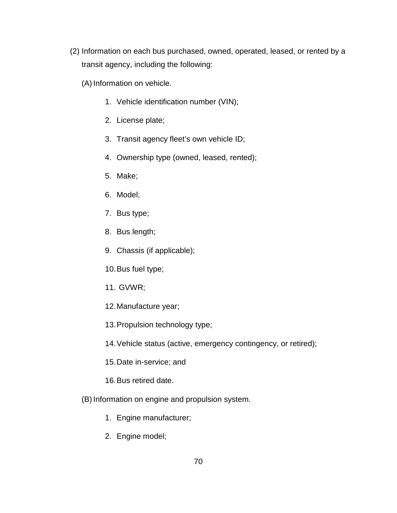- (2) Information on each bus purchased, owned, operated, leased, or rented by a transit agency, including the following:
	- (A) Information on vehicle.
		- 1. Vehicle identification number (VIN);
		- 2. License plate;
		- 3. Transit agency fleet's own vehicle ID;
		- 4. Ownership type (owned, leased, rented);
		- 5. Make;
		- 6. Model;
		- 7. Bus type;
		- 8. Bus length;
		- 9. Chassis (if applicable);
		- 10.Bus fuel type;
		- 11. GVWR;
		- 12.Manufacture year;
		- 13.Propulsion technology type;
		- 14.Vehicle status (active, emergency contingency, or retired);
		- 15.Date in-service; and
		- 16.Bus retired date.
	- (B) Information on engine and propulsion system.
		- 1. Engine manufacturer;
		- 2. Engine model;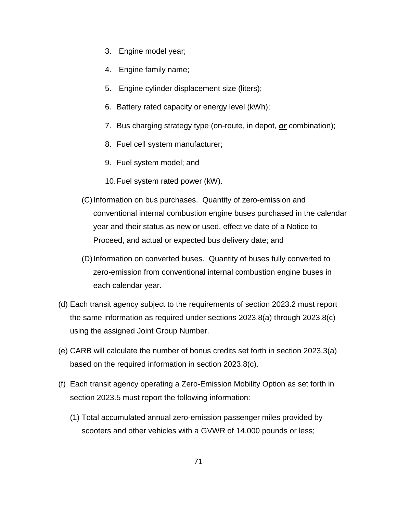- 3. Engine model year;
- 4. Engine family name;
- 5. Engine cylinder displacement size (liters);
- 6. Battery rated capacity or energy level (kWh);
- 7. Bus charging strategy type (on-route, in depot, *or* combination);
- 8. Fuel cell system manufacturer;
- 9. Fuel system model; and
- 10.Fuel system rated power (kW).
- (C)Information on bus purchases. Quantity of zero-emission and conventional internal combustion engine buses purchased in the calendar year and their status as new or used, effective date of a Notice to Proceed, and actual or expected bus delivery date; and
- (D)Information on converted buses. Quantity of buses fully converted to zero-emission from conventional internal combustion engine buses in each calendar year.
- (d) Each transit agency subject to the requirements of section 2023.2 must report the same information as required under sections 2023.8(a) through 2023.8(c) using the assigned Joint Group Number.
- (e) CARB will calculate the number of bonus credits set forth in section 2023.3(a) based on the required information in section 2023.8(c).
- (f) Each transit agency operating a Zero-Emission Mobility Option as set forth in section 2023.5 must report the following information:
	- (1) Total accumulated annual zero-emission passenger miles provided by scooters and other vehicles with a GVWR of 14,000 pounds or less;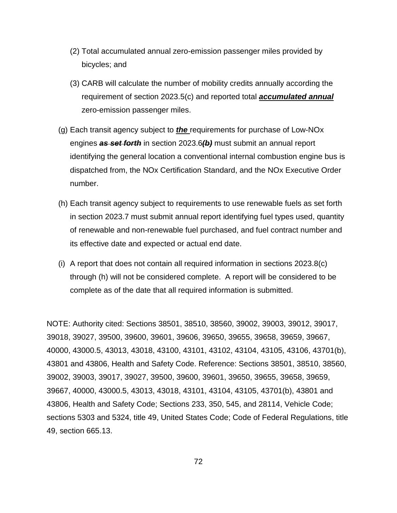- (2) Total accumulated annual zero-emission passenger miles provided by bicycles; and
- (3) CARB will calculate the number of mobility credits annually according the requirement of section 2023.5(c) and reported total *accumulated annual* zero-emission passenger miles.
- (g) Each transit agency subject to *the* requirements for purchase of Low-NOx engines *as set forth* in section 2023.6*(b)* must submit an annual report identifying the general location a conventional internal combustion engine bus is dispatched from, the NOx Certification Standard, and the NOx Executive Order number.
- (h) Each transit agency subject to requirements to use renewable fuels as set forth in section 2023.7 must submit annual report identifying fuel types used, quantity of renewable and non-renewable fuel purchased, and fuel contract number and its effective date and expected or actual end date.
- (i) A report that does not contain all required information in sections 2023.8(c) through (h) will not be considered complete. A report will be considered to be complete as of the date that all required information is submitted.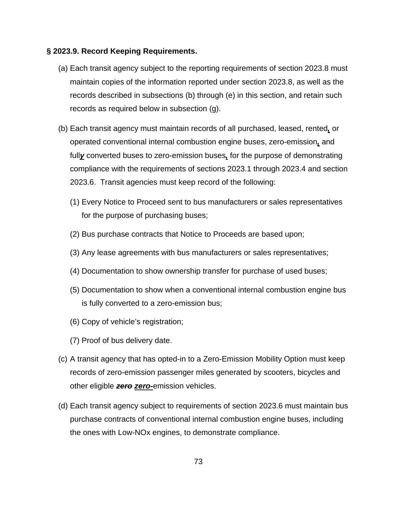## **§ 2023.9. Record Keeping Requirements.**

- (a) Each transit agency subject to the reporting requirements of section 2023.8 must maintain copies of the information reported under section 2023.8, as well as the records described in subsections (b) through (e) in this section, and retain such records as required below in subsection (g).
- (b) Each transit agency must maintain records of all purchased, leased, rented*,* or operated conventional internal combustion engine buses, zero-emission*,* and full*y* converted buses to zero-emission buses*,* for the purpose of demonstrating compliance with the requirements of sections 2023.1 through 2023.4 and section 2023.6. Transit agencies must keep record of the following:
	- (1) Every Notice to Proceed sent to bus manufacturers or sales representatives for the purpose of purchasing buses;
	- (2) Bus purchase contracts that Notice to Proceeds are based upon;
	- (3) Any lease agreements with bus manufacturers or sales representatives;
	- (4) Documentation to show ownership transfer for purchase of used buses;
	- (5) Documentation to show when a conventional internal combustion engine bus is fully converted to a zero-emission bus;
	- (6) Copy of vehicle's registration;
	- (7) Proof of bus delivery date.
- (c) A transit agency that has opted-in to a Zero-Emission Mobility Option must keep records of zero-emission passenger miles generated by scooters, bicycles and other eligible *zero zero-*emission vehicles.
- (d) Each transit agency subject to requirements of section 2023.6 must maintain bus purchase contracts of conventional internal combustion engine buses, including the ones with Low-NOx engines, to demonstrate compliance.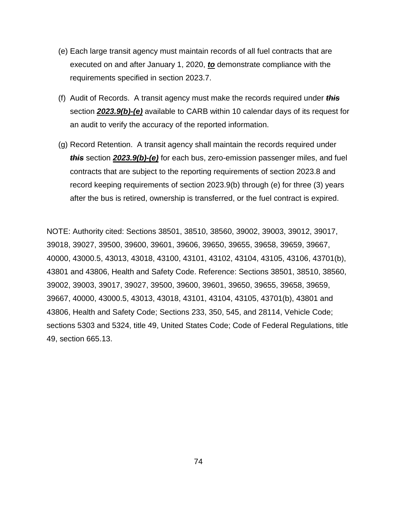- (e) Each large transit agency must maintain records of all fuel contracts that are executed on and after January 1, 2020, *to* demonstrate compliance with the requirements specified in section 2023.7.
- (f) Audit of Records. A transit agency must make the records required under *this* section *2023.9(b)-(e)* available to CARB within 10 calendar days of its request for an audit to verify the accuracy of the reported information.
- (g) Record Retention. A transit agency shall maintain the records required under *this* section *2023.9(b)-(e)* for each bus, zero-emission passenger miles, and fuel contracts that are subject to the reporting requirements of section 2023.8 and record keeping requirements of section 2023.9(b) through (e) for three (3) years after the bus is retired, ownership is transferred, or the fuel contract is expired.

NOTE: Authority cited: Sections 38501, 38510, 38560, 39002, 39003, 39012, 39017, 39018, 39027, 39500, 39600, 39601, 39606, 39650, 39655, 39658, 39659, 39667, 40000, 43000.5, 43013, 43018, 43100, 43101, 43102, 43104, 43105, 43106, 43701(b), 43801 and 43806, Health and Safety Code. Reference: Sections 38501, 38510, 38560, 39002, 39003, 39017, 39027, 39500, 39600, 39601, 39650, 39655, 39658, 39659, 39667, 40000, 43000.5, 43013, 43018, 43101, 43104, 43105, 43701(b), 43801 and 43806, Health and Safety Code; Sections 233, 350, 545, and 28114, Vehicle Code; sections 5303 and 5324, title 49, United States Code; Code of Federal Regulations, title 49, section 665.13.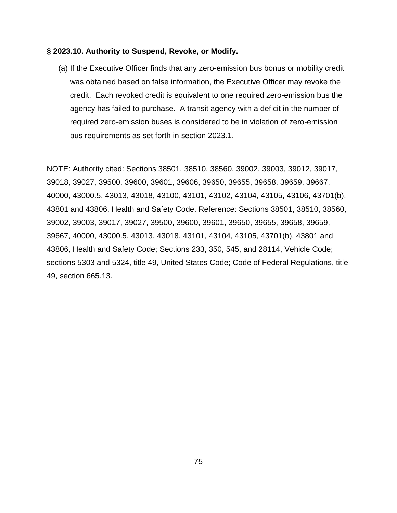## **§ 2023.10. Authority to Suspend, Revoke, or Modify.**

(a) If the Executive Officer finds that any zero-emission bus bonus or mobility credit was obtained based on false information, the Executive Officer may revoke the credit. Each revoked credit is equivalent to one required zero-emission bus the agency has failed to purchase. A transit agency with a deficit in the number of required zero-emission buses is considered to be in violation of zero-emission bus requirements as set forth in section 2023.1.

NOTE: Authority cited: Sections 38501, 38510, 38560, 39002, 39003, 39012, 39017, 39018, 39027, 39500, 39600, 39601, 39606, 39650, 39655, 39658, 39659, 39667, 40000, 43000.5, 43013, 43018, 43100, 43101, 43102, 43104, 43105, 43106, 43701(b), 43801 and 43806, Health and Safety Code. Reference: Sections 38501, 38510, 38560, 39002, 39003, 39017, 39027, 39500, 39600, 39601, 39650, 39655, 39658, 39659, 39667, 40000, 43000.5, 43013, 43018, 43101, 43104, 43105, 43701(b), 43801 and 43806, Health and Safety Code; Sections 233, 350, 545, and 28114, Vehicle Code; sections 5303 and 5324, title 49, United States Code; Code of Federal Regulations, title 49, section 665.13.